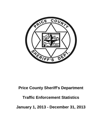

# **Price County Sheriff's Department**

# **Traffic Enforcement Statistics**

**January 1, 2013 - December 31, 2013**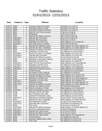| <b>Date</b> | Citation # Type |                         | <b>Offense</b>                        | <b>Location</b>                      |
|-------------|-----------------|-------------------------|---------------------------------------|--------------------------------------|
| 01/01/13    | 6800            | C                       | Improper Display (No Plates)          | Flambeau Ave & Elm St                |
| 01/01/13    | 6800            | $\overline{C}$          | Fail/Apply Address Change             | Flambeau Ave & Elm St                |
| 01/01/13    | 6800            | $\mathsf C$             | Operate MV Without Insurance          | Flambeau Ave & Elm St                |
| 01/01/13    | 6911            | $\mathsf C$             | Oper MV W/O Proof-Insurance           | S 4th Ave & S 9th St                 |
| 01/01/13    | 6911            | $\mathsf C$             | Headlamps                             | S 4th Ave & S 9th St                 |
| 01/01/13    | 7281            | $\mathsf C$             | Operate MV Without Insurance          | Old 13 Rd & Podvin Rd                |
| 01/01/13    | V901908-0       | т                       | <b>Operate After Revocation</b>       | Old 13 Rd & Podvin Rd                |
| 01/01/13    | V901951-1       | т                       | Operate After Revocation              | S 4th Ave & S 9th St                 |
| 01/01/13    | V237941-4       | т                       | Speeding in 55 MPH Zone               | State Highway 111 & Hurban Rd        |
| 01/01/13    | V901909-1       | т                       | <b>Fail Notify Police of Accident</b> | Old 13 Rd & Podvin Rd                |
| 01/02/13    | 6912            | $\overline{C}$          | Operate W/O Required Lamps            | State Highway 13 & State Highway 111 |
| 01/02/13    | 6912            | $\overline{W}$          | Operate MV W/O 2 Headlights           | State Highway 13 & State Highway 111 |
| 01/02/13    | 8324            | $\overline{W}$          | Operate MV Without Insurance          | US Highway 8 & County Road O         |
| 01/02/13    | 8324            | $\overline{W}$          | Speeding in 55 MPH Zone               | US Highway 8 & County Road O         |
| 01/02/13    | H331959-5       | $\overline{\mathsf{T}}$ | Driving Too Fast For Conditions       | State Highway 13 & Simon Rd          |
| 01/02/13    | H331960-6       | Ŧ                       | Operate After Revocation              | State Highway 13 & Simon Rd          |
| 01/03/13    | V901729-3       | $\overline{\mathsf{T}}$ | Operate MV Without Insurance          | County Road N & Hay Rd               |
| 01/04/13    | 8484            | $\overline{W}$          | Speeding on Semiurban Highway         | County Road F & Deer Creek Rd        |
| 01/04/13    | 8485            | $\overline{W}$          | Speeding in 55 MPH Zone               | State Highway 13 & Vlight Rd         |
| 01/04/13    | V901910-2       | T                       | Oper MV W/O Proof-Insurance           | State Highway 13 & Grunerwald Rd     |
| 01/05/13    | V237942-5       | T                       | Speeding in 55 MPH Zone               | US Highway 8 & Beaumont Rd           |
| 01/05/13    | V901952-2       | T                       | <b>Operating After Suspension</b>     | State Highway 13 & Colberg Rd        |
| 01/05/13    | V901953-3       | T                       | Operate MV Without Insurance          | State Highway 13 & Colberg Rd        |
| 01/06/13    | 7052            | $\mathbf C$             | <b>Tinted Windows</b>                 | US Highway 8 & County Road A         |
| 01/06/13    | 7053            | $\mathsf C$             | No Display of Reg Certificate         | US Highway 8 & Schlie Rd             |
| 01/06/13    | 7054            | $\mathsf C$             | Improper Display (No Plates)          | State Highway 13 & Johnson Ave       |
| 01/06/13    | 7054            | $\overline{C}$          | Operate MV Without Insurance          | State Highway 13 & Johnson Ave       |
| 01/06/13    | 8486            | $\overline{W}$          | Speeding in 55 MPH Zone               | State Highway 70 & Cedar Rapids Rd   |
| 01/06/13    | V901911-3       | Τ                       | Speeding in 55 MPH Zone               | State Highway 182 & Hoefferle Rd     |
| 01/08/13    | V901731-5       | $\overline{\mathsf{T}}$ | <b>Inattentive Driving</b>            | State Highway 13 & State Highway 111 |
| 01/08/13    | V901732-6       | $\overline{\mathsf{T}}$ | Operate MV Without Insurance          | State Highway 13 & State Highway 111 |
| 01/09/13    | 7055            | $\overline{C}$          | Exhaust, Air Pollution Control        | Air Park Rd & Railroad Ave           |
| 01/09/13    | 7283            | W                       | Failure to Display Lic Plates         | State Highway 111 & Shortcut Rd      |
| 01/09/13    | V237843-4       | T                       | Oper W/Detectable Amount Cont         | US Highway 8 & Hay Creek Rd          |
| 01/10/13    | 7248            | $\overline{C}$          | Improper Vehicle Tail Lights          | US Highway 8 & County Road O         |
| 01/10/13    | 7248            | $\overline{C}$          | No or Defective Stop Lamp             | US Highway 8 & County Road O         |
| 01/10/13    | 7285            | $\overline{C}$          | Operate W/O Required Lamps            | State Highway 13 & W Lane Rd         |
| 01/10/13    | V901912-4       | т                       | Speeding on Semiurban Highway         | County Road F & Deer Creek Rd        |
| 01/11/13    | 6811            | C                       | Operate MV W/O 2 Headlights           | State Highway 13 & White Rock Rd     |
| 01/11/13    | V237844-5       | Τ                       | Non-Registration Vehicle              | S Lake Ave & County Road D           |
| 01/13/13    | V901733-0       | т                       | <b>Operating After Suspension</b>     | Pennington Rd & Blueberry Rd         |
| 01/14/13    | 6895            | C                       | <b>Tail Lamps</b>                     | N Avon Ave & Chestnut St             |
| 01/14/13    | V237943-6       | Τ                       | Operate MV Without Insurance          | State Highway 13 & State Highway 111 |
| 01/14/13    | V901792-3       | т                       | Hit & Run Unattended Vehicle          | E Wilson Flowage Rd                  |
| 01/15/13    | V901954-4       | т                       | Operate W/O Valid License             | S 7th Ave & S 2nd St                 |
| 01/15/13    | V901955-5       | т                       | Operate MV Without Insurance          | S 7th Ave & S 2nd St                 |
| 01/18/13    | V901793-4       | т                       | Operate W/O Valid License             | State Highway 70 & Dynamite Rd       |
| 01/19/13    | 6928            | $\mathsf C$             | <b>Tinted Windows</b>                 | US Highway 8 & Spur Rd               |
| 01/19/13    | 6929            | $\mathbf C$             | Improper Display (Hard to See)        | US Highway 8 & Fairview Rd           |
| 01/19/13    | 6929            | $\mathsf C$             | <b>Tail Lamps</b>                     | US Highway 8 & Fairview Rd           |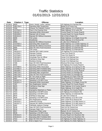| <b>Date</b> | Citation # Type |                         | <b>Offense</b>                     | Location                             |
|-------------|-----------------|-------------------------|------------------------------------|--------------------------------------|
| 01/19/13    | 6929            | $\mathsf{C}$            | Doors, Hoods, Locks, Latches       | US Highway 8 & Fairview Rd           |
| 01/21/13    | V901794-5       | Τ                       | <b>Operating After Suspension</b>  | Beebe St & Forest Ave                |
| 01/24/13    | 7056            | $\mathsf{C}$            | Exhaust, Air Pollution Control     | State Highway 111 & Pioneer Ln       |
| 01/24/13    | V237944-0       | Τ                       | Pass in No-Passing Zone            | State Highway 13 & Larkin Rd         |
| 01/24/13    | V901957-0       | Τ                       | Operating While Intoxicated        | County Road E & County Road B        |
| 01/24/13    | V901959-2       | Τ                       | Operate Left of Center             | County Road E & County Road B        |
| 01/25/13    | V901913-5       | Τ                       | Operate MV Without Insurance       | Old 13 Rd & Podvin Rd                |
| 01/26/13    | 6896            | $\mathbf C$             | Tail Lamps                         | State Highway 13 & Maple Grove Rd    |
| 01/27/13    | 6957            | $\overline{C}$          | Headlamps                          | State Highway 13 & Shortcut Rd       |
| 01/28/13    | 6958            | $\overline{\text{c}}$   | Operate MV Without Insurance       | S Lake Ave & Peterson Dr             |
| 01/28/13    | V237563-4       | Ŧ                       | <b>Operating After Suspension</b>  | State Highway 111 & State Highway 13 |
| 01/28/13    | V237564-5       | T                       | Operate MV Without Insurance       | State Highway 111 & State Highway 13 |
| 01/29/13    | 6956            | $\overline{\mathsf{C}}$ | Oper MV W/O Proof-Insurance        | State Highway 13 & Bennett Rd        |
| 01/29/13    | 6956            | $\overline{\text{c}}$   | Tail Lamps                         | State Highway 13 & Bennett Rd        |
| 01/29/13    | V901610-3       | Ŧ                       | Operate W/O Valid License          | US Highway 8 & County Road A         |
| 01/29/13    | V237945-1       | $\overline{\mathsf{T}}$ | Improper Parking                   | Town St & South St                   |
| 01/29/13    | V237946-2       | Τ                       | Improper Parking                   | Town St & South St                   |
| 01/30/13    | V901960-3       | Τ                       | Knowingly Flee an Officer          | Center St & Railroad Ave             |
| 01/30/13    | V901961-4       | Т                       | Fail/Stop at Stop Sign             | Center St & Railroad Ave             |
| 01/30/13    | V901962-5       | Т                       | <b>Reckless Driving</b>            | Center St & Railroad Ave             |
| 01/31/13    | 7286            | $\mathsf C$             | Oper MV W/O Proof-Insurance        | Shortcut Rd & Deer Creek Rd          |
| 02/01/13    | 8292            | W                       | Speeding in 55 MPH Zone            | US Highway 8 & County Road D         |
| 02/06/13    | V237880-6       | Τ                       | Operating While Intoxicated        | State Highway 13 & Spring Inn Rd     |
| 02/06/13    | V237881-0       | т                       | Operating With Prohibited BAC      | State Highway 13 & Spring Inn Rd     |
| 02/07/13    | V901958-1       | T                       | Operating With Prohibited BAC      | County Road E & County Road B        |
| 02/08/13    | V901734-1       | Τ                       | <b>Operating After Suspension</b>  | County Road E & Partridge Rd         |
| 02/08/13    | V901735-2       | Τ                       | Oper MV W/O Proof-Insurance        | County Road E & Partridge Rd         |
| 02/09/13    | V901736-3       | T                       | No Tail Lamps at Night             | US Highway 8 & Pikes Peak Rd         |
| 02/10/13    | 8381            | W                       | Operate Left of Center             | Shady Knoll Rd & Thorofare Rd        |
| 02/12/13    | V901627-6       | $\overline{\mathsf{T}}$ | Speeding in 55 MPH Zone            | US Highway 8 & E Branch Rd           |
| 02/13/13    | V901611-4       | T                       | <b>Operating While Intoxicated</b> | State Highway 13 & Maple Grove Rd    |
| 02/14/13    | 7287            | W                       | Non-Registration Vehicle           | County Road D & County Road K        |
| 02/14/13    | 8325            | W                       | Fail/Stop at Stop Sign             | State Highway 13 & County Road A     |
| 02/16/13    | 6913            | $\mathsf C$             | Headlamps                          | State Highway 13 & Voight Rd         |
| 02/17/13    | 7288            | $\overline{C}$          | Improperly Attatched Lic Plates    | US Highway 8 & County Road O         |
| 02/17/13    | 7014            | $\overline{\mathsf{W}}$ | Speeding in 55 MPH Zone            | US Highway 8 & E Branch Rd           |
| 02/17/13    | 8293            | W                       | Speeding in 55 MPH Zone            | State Highway 13 & Bennett Rd        |
| 02/20/13    | 8534            | W                       | Fail/Stop at Stop Sign             | N Lake Ave & Shaw St                 |
| 02/20/13    | 8535            | $\overline{\mathsf{W}}$ | Speeding in 55 MPH Zone            | State Highway 13 & Old 13 Rd         |
| 02/20/13    | V901915-0       | т                       | Non-Registration Vehicle           | Deer Creek Rd & Shortcut Rd          |
| 02/20/13    | V901916-1       | т                       | Inattentive Driving                | State Highway 13 & Hilly Haven Ln    |
| 02/20/13    | V901917-2       | т                       | Operate MV Without Insurance       | State Highway 13 & Hilly Haven Ln    |
| 02/21/13    | 8382            | W                       | Fail/Notify Address Change         | State Highway 70 & Old 70 Rd         |
| 02/21/13    | 8536            | W                       | Oper MV W/O Proof-Insurance        | Oak St & W Central Ave               |
| 02/21/13    | 8536            | W                       | Improper Right Turn                | Oak St & W Central Ave               |
| 02/21/13    | 8537            | W                       | <b>Registration Plate Lamp</b>     | Balsam St & E Central Ave            |
| 02/22/13    | 8538            | W                       | Speeding in 55 MPH Zone            | State Highway 13 & Dama Rd           |
| 02/22/13    | V901612-5       | T                       | Operating While Intoxicated        | County Road E & E Buckhorn Rd        |
| 02/22/13    | V901613-6       | T                       | Operating With Prohibited BAC      | County Road E & E Buckhorn Rd        |
| 02/23/13    | 7910            | W                       | Oper MV W/O Proof-Insurance        | US Highway 8 & State Highway 13      |
| 02/23/13    | 7910            | W                       | Fail to Signal Turn                | US Highway 8 & State Highway 13      |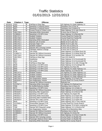| <b>Date</b> | Citation # Type |                         | <b>Offense</b>                          | Location                             |
|-------------|-----------------|-------------------------|-----------------------------------------|--------------------------------------|
| 02/23/13    | 7910            | W                       | Fail/Stop at Stop Sign                  | US Highway 8 & State Highway 13      |
| 02/23/13    | 8456            | W                       | Speeding in Outlying District           | Flambeau Ave & Pine St               |
| 02/23/13    | 8457            | W                       | Speeding in Outlying District           | Falmbeau Ave & Walnut St             |
| 02/23/13    | 8458            | W                       | <b>Exceed Zoned &amp; Posted Limits</b> | State Highway 13 & Lake Shore Dr     |
| 02/23/13    | V901739-6       | Τ                       | <b>Operating While Intoxicated</b>      | N Avon Ave & Cherry St               |
| 02/23/13    | V238046-4       | т                       | Speeding in 55 MPH Zone                 | State Highway 13 & Bennett Rd        |
| 02/23/13    | V901737-4       | т                       | Seatbelt Violation                      | County Road B & Frankie Rd           |
| 02/23/13    | V901738-5       | Τ                       | <b>Seatbelt Violation</b>               | County Road B & Frankie Rd           |
| 02/23/13    | V901740-0       | T                       | Operating While Intoxicated             | N Avon Ave & Cherry St               |
| 02/23/13    | V901741-1       | Т                       | Operate Left of Center                  | Beebe St & N Lake Ave                |
| 02/23/13    | V901742-2       | T                       | Improper Right Turn                     | Beebe St & N Lake Ave                |
| 02/23/13    | V901743-3       | Ŧ                       | Seatbelt Violation                      | N Avon Ave & Cherry St               |
| 02/23/13    | V901744-4       | Ŧ                       | Operate W/O Carrying License            | N Avon Ave & Cherry St               |
| 02/23/13    | V901745-5       | T                       | Fail/Apply Address Change               | N Avon Ave & Cherry St               |
| 02/24/13    | 6736            | $\overline{C}$          | <b>Tail Lamps</b>                       | State Highway 13 & White Rock Rd     |
| 02/24/13    | V238047-5       | Ŧ                       | Operate MV Without Insurance            | State Highway 13 & White Rock Rd     |
| 02/24/13    | V901746-6       | Τ                       | Operate MV Without Insurance            | State Highway 13 & Hamilton Rd       |
| 02/25/13    | V901795-6       | Τ                       | Fail/Stop at Stop Sign                  | Town St & South St                   |
| 02/26/13    | 6812            | C                       | Headlamps                               | State Highway 13 & Grunerwald Rd     |
| 02/26/13    | 6812            | C                       | Tail Lamps                              | State Highway 13 & Grunerwald Rd     |
| 02/26/13    | 7551            | W                       | Fail/Stop at Stop Sign                  | State Highway 13 & Little Chicago Rd |
| 02/26/13    | 8539            | W                       | Speeding in 55 MPH Zone                 | State Highway 13 & Kundinger Rd      |
| 02/27/13    | 8294            | W                       | Speeding in 55 MPH Zone                 | US Highway 8 & Pass Rd               |
| 02/27/13    | 8459            | W                       | Speeding in 55 MPH Zone                 | US Highway 8 & State Highway 111     |
| 02/27/13    | 8460            | W                       | Speeding in 55 MPH Zone                 | State Highway 13 & Morner Rd         |
| 02/27/13    | V901747-0       | Τ                       | Seatbelt Violation                      | US Highway 8 & State Highway 111     |
| 02/27/13    | V901748-1       | Т                       | Seatbelt Violation                      | US Highway 8 & State Highway 111     |
| 02/27/13    | V901749-2       | T                       | Seatbelt Violation                      | US Highway 8 & State Highway 111     |
| 02/28/13    | V901750-3       | $\overline{\mathsf{T}}$ | Non-Registration Vehicle                | State Highway 13 & Peters Rd         |
| 02/28/13    | V901918-3       | T                       | Non-Registration Vehicle                | County Road D & County Road K        |
| 03/01/13    | 7057            | $\overline{\mathrm{c}}$ | Operate MV Without Insurance            | Railroad Ave                         |
| 03/01/13    | V237947-3       | T                       | <b>Operating While Intoxicated</b>      | US Highway 8 & Railroad Ave          |
| 03/02/13    | 7058            | $\mathbf C$             | No Muffler/Defective Muffler            | Flambeau Ave & Cherry St             |
| 03/02/13    | 5072            | W                       | Speeding in 55 MPH Zone                 | State Highway 111 & Katie Ln         |
| 03/02/13    | V237970-5       | т                       | Operate MV Without Insurance            | State Highway 13 & Grunerwald Rd     |
| 03/02/13    | V901628-0       | Т                       | <b>Operating After Suspension</b>       | State Highway 13 & Morner Rd         |
| 03/02/13    | V901629-1       | Τ                       | Speeding in 55 MPH Zone                 | US Highway 8 & Aspen Rd              |
| 03/02/13    | V901631-3       |                         | Operating While Intoxicated             | State Highway 13 & Aspen Rd          |
| 03/02/13    | V901632-4       | Т                       | Operating With Prohibited BAC           | State Highway 13 & Aspen Rd          |
| 03/02/13    | V901633-5       | Τ                       | Operate W/O Valid License               | State Highway 13 & Aspen Rd          |
| 03/03/13    | 8540            | W                       | Speeding in 55 MPH Zone                 | State Highway 182 & Town Hall Rd     |
| 03/04/13    | V237948-4       | Т                       | Snowmobile Operator FYR                 | County Road B & County Road E        |
| 03/07/13    | 8383            | W                       | Speeding in 55 MPH Zone                 | State Highway 70 & Hicks Landing Rd  |
| 03/08/13    | 7290            | C                       | Operate W/O Required Lamps              | State Highway 111 & Shortcut Rd      |
| 03/08/13    | V901928-6       | T                       | Non-Registration Vehicle                | Oxbow Rd & Moonshine Alley           |
| 03/10/13    | V238048-6       | T                       | Operate MV Without Insurance            | Flambeau Ave & Oak St                |
| 03/11/13    | V238049-0       | T                       | Operate MV Without Insurance            | US Highway 8 & Schie Rd              |
| 03/12/13    | 5073            | W                       | Speeding in 55 MPH Zone                 | State Highway 13 & Rock Creek Rd     |
| 03/12/13    | 5074            | W                       | Operate W/O Carrying License            | County Road C & Mueller Rd           |
| 03/12/13    | 5074            | W                       | Passenger Obstruct Driver Oper          | County Road C & Mueller Rd           |
| 03/12/13    | V237767-5       | т                       | <b>Operating While Intoxicated</b>      | Nehiba Rd & County Road B            |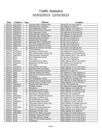| <b>Date</b> | Citation # Type |                         | <b>Offense</b>                       | Location                          |
|-------------|-----------------|-------------------------|--------------------------------------|-----------------------------------|
| 03/12/13    | V237768-6       | т                       | <b>Operating With Prohibited BAC</b> | Nehiba Rd & County Road B         |
| 03/12/13    | V901634-6       | Τ                       | <b>Operating After Suspension</b>    | US Highway 8 & Main St            |
| 03/12/13    | V901919-4       | Τ                       | Non-Registration Vehicle             | State Highway 13 & Liberty Ln     |
| 03/12/13    | V901920-5       | Τ                       | Operate MV Without Insurance         | State Highway 13 & Liberty Ln     |
| 03/12/13    | V901926-4       | Τ                       | Non-Registration Vehicle             | US Highway 8 & Riverview Rd       |
| 03/12/13    | V901927-5       | Τ                       | <b>Operating After Suspension</b>    | US Highway 8 & Riverview Rd       |
| 03/15/13    | V237949-5       | Τ                       | Operating With Prohibited BAC        | US Highway 8 & Railroad Ave       |
| 03/15/13    | V901796-0       | Τ                       | Operating While Intoxicated          | S Lake Ave & Peterson Dr          |
| 03/15/13    | V901798-2       | Τ                       | Operate After Revocation             | S Lake Ave & Peterson Dr          |
| 03/15/13    | V901929-0       | T                       | Operating With Prohibited BAC        | N Avon Ave & Cherry St            |
| 03/15/13    | V901797-1       | T                       | Hit & Run Unattended Vehicle         | S Lake Ave & Peterson Dr          |
| 03/15/13    | V901799-3       | T                       | Operate MV Without Insurance         | S Lake Ave & Peterson Dr          |
| 03/16/13    | 7059            | $\overline{\mathsf{W}}$ | Operate MV Without Insurance         | Van Dusen St & Railroad Ave       |
| 03/16/13    | 7059            | $\overline{W}$          | <b>Tinted Windows</b>                | Van Dusen St & Railroad Ave       |
| 03/17/13    | V237766-4       | Ŧ                       | Speeding in 55 MPH Zone              | US Highway 8 & County Road O      |
| 03/20/13    | V237950-6       | Ŧ                       | Oper W/Detectable Amount Cont        | State Highway 13 & Centerville Rd |
| 03/21/13    | V901635-0       | T                       | <b>Operating After Suspension</b>    | State Highway 182 & Town Hall Rd  |
| 03/23/13    | 6737            | $\overline{C}$          | Non-Registration Vehicle             | N Lake Ave & Fairway Dr           |
| 03/23/13    | 6737            | $\mathsf C$             | <b>Tail Lamps</b>                    | N Lake Ave & Fairway Dr           |
| 03/26/13    | V901636-1       | Τ                       | Knowingly Flee an Officer            | State Highway 182 & Town Hall Rd  |
| 03/26/13    | V902001-2       | Τ                       | Speeding in 55 MPH Zone              | US Highway 8 & Chicago Ave        |
| 03/27/13    | 6897            | $\mathsf C$             | <b>Tail Lamps</b>                    | N Lake Ave & Beebe St             |
| 03/27/13    | V237972-0       | T                       | Operate After Revocation             | State Highway 13 & County Road X  |
| 03/27/13    | V237971-6       | т                       | Operating While Intoxicated          | State Highway 13 & County Road X  |
| 03/27/13    | V901615-1       | Τ                       | Minor Transporting Intoxicants       | Beebe St & N Lake Ave             |
| 03/28/13    | 6835            | $\mathsf C$             | Improper Display (No Plates)         | US Highway 8 & State Highway 13   |
| 03/28/13    | 6835            | $\overline{\text{C}}$   | Oper MV W/O Proof-Insurance          | US Highway 8 & State Highway 13   |
| 03/28/13    | 6898            | $\overline{\text{c}}$   | Headlamps                            | State Highway 111 & US Highway 8  |
| 03/28/13    | 7291            | $\overline{C}$          | Non-Registration Vehicle             | US Highway 8 & Chicago Ave        |
| 03/28/13    | 8461            | $\overline{W}$          | Operate W/O Carrying License         | US Highway 8 & State Highway 111  |
| 03/28/13    | 8462            | $\overline{W}$          | Exceed Zoned & Posted Limits         | State Highway 13 & Pine Grove Ln  |
| 03/28/13    | V901921-6       | Τ                       | Operate W/O Valid License            | Center St & Railroad Ave          |
| 03/28/13    | V901930-1       | $\top$                  | <b>Seatbelt Violation</b>            | US Highway 8 & State Highway 111  |
| 03/29/13    | 6914            | $\mathsf C$             | Headlamps                            | State Highway 13 & Voight Rd      |
| 03/29/13    | 5500            | $\overline{\mathsf{W}}$ | Speeding in 55 MPH Zone              | State Highway 13 & Spring Inn Rd  |
| 03/29/13    | 5500            | $\overline{\mathsf{W}}$ | No Muffler/Defective Muffler         | State Highway 13 & Spring Inn Rd  |
| 03/29/13    | 8401            | $\overline{\mathsf{W}}$ | Speeding in Outlying District        | Flambeau Ave & Walnut St          |
| 03/29/13    | V902002-3       |                         | Oper Veh W/Reg Rev/Susp/Canc         | State Highway 13 & Johnson Ave    |
| 03/29/13    | V902003-4       | Т                       | Speeding in 55 MPH Zone              | US Highway 8 & Hay Creek Rd       |
| 03/31/13    | 7060            | C                       | No Muffler/Defective Muffler         | US Highway 8 & Hay Creek Rd       |
| 03/31/13    | V902004-5       | т                       | Operating While Intoxicated          | US Highway 8 & Hay Creek Rd       |
| 04/02/13    | 6899            | $\overline{C}$          | Passenger Obstruct Driver Oper       | State Highway 13 & Maple Grove Rd |
| 04/02/13    | 8488            | $\overline{\mathsf{W}}$ | Fail/Stop at Stop Sign               | US Highway 8 & Cemetery Rd        |
| 04/02/13    | V901616-2       | т                       | Minor Transporting Intoxicants       | State Highway 13 & Maple Grove Rd |
| 04/03/13    | 8402            | $\overline{\mathsf{W}}$ | Speeding in 55 MPH Zone              | State Highway 13 & Spring Inn Rd  |
| 04/03/13    | V901885-5       | T                       | Speeding in 55 MPH Zone              | State Highway 13 & Voight Rd      |
| 04/04/13    | V901886-6       | T                       | Operate MV Without Insurance         | US Highway 8 & State Highway 13   |
| 04/05/13    | 6738            | $\overline{C}$          | Improper Display (No Plates)         | State Highway 13 & County Road X  |
| 04/05/13    | 6738            | $\overline{C}$          | Fail/Notify Address Change           | State Highway 13 & County Road X  |
| 04/05/13    | 6738            | $\mathsf C$             | Oper MV W/O Proof-Insurance          | State Highway 13 & County Road X  |
| 04/05/13    | 6738            | $\mathsf C$             | Headlamps                            | State Highway 13 & County Road X  |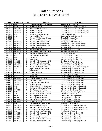| <b>Date</b> | Citation # Type |                         | <b>Offense</b>                        | Location                             |
|-------------|-----------------|-------------------------|---------------------------------------|--------------------------------------|
| 04/05/13    | 6900            | C                       | Passenger Obstruct Driver Oper        | Fayette St & N Lake Ave              |
| 04/05/13    | V238050-1       | T                       | <b>Seatbelt Violation</b>             | State Highway 13 & County Road X     |
| 04/05/13    | V901931-2       | T                       | Non-Registration Vehicle              | State Highway 111 & Shortcut Rd      |
| 04/05/13    | V901932-3       | Τ                       | Seatbelt Violation                    | State Highway 111 & State Highway 13 |
| 04/05/13    | V901933-4       | Τ                       | Seatbelt Violation                    | State Highway 111 & State Highway 13 |
| 04/06/13    | 6901            | C                       | Defective Directional Lamp            | Main St & North Ave                  |
| 04/06/13    | 8463            | W                       | Improper Right Turn                   | Granberg Rd & US Highway 8           |
| 04/06/13    | 8464            | W                       | Operate W/O Carrying License          | Birch St & Paddock Ave               |
| 04/06/13    | 8464            | W                       | Operate W/O Required Lamps            | Birch St & Paddock Ave               |
| 04/06/13    | V902176-2       | Τ                       | Operating While Intoxicated           | County Road H & N Lake Ave           |
| 04/06/13    | V901617-3       | Ŧ                       | <b>Operating While Intoxicated</b>    | Ten Crossing Rd & County Road O      |
| 04/06/13    | V901618-4       | Τ                       | <b>Operating With Prohibited BAC</b>  | Ten Crossing Rd & County Road O      |
| 04/06/13    | V901934-5       | T                       | Seatbelt Violation                    | State Highway 86 & 1st St            |
| 04/06/13    | V901935-6       | Ŧ                       | Non-Registration Vehicle              | State Highway 86 & 2nd St            |
| 04/06/13    | V901936-0       | Ŧ                       | Oper MV W/O Proof-Insurance           | Paddock Ave & Birch St               |
| 04/06/13    | V901937-1       | Ŧ                       | Operate W/O Valid License             | S 9th St & S 4th Ave                 |
| 04/07/13    | 6739            | $\overline{C}$          | Fail to Display Registration          | US Highway 8 & Granberg Rd           |
| 04/07/13    | 6739            | $\overline{\text{c}}$   | <b>Tail Lamps</b>                     | US Highway 8 & Granberg Rd           |
| 04/07/13    | 6739            | $\overline{C}$          | Windshields                           | US Highway 8 & Granberg Rd           |
| 04/08/13    | V901800-4       | T                       | Operating With Prohibited BAC         | S Lake Ave & Peterson Dr             |
| 04/08/13    | V237769-0       | T                       | Operating While Intoxicated           | Ridgewood Ct & Pine Ridge Rd         |
| 04/08/13    | V237770-1       | т                       | Operating With Prohibited BAC         | Ridgewood Ct & Pine Ridge Rd         |
| 04/08/13    | V902005-6       | Τ                       | Operate W/O Valid License             | State Highway 111 & State Highway 13 |
| 04/09/13    | 7061            | $\mathsf C$             | Improper Display (No Plates)          | State Highway 70 & Hemlock Rd        |
| 04/09/13    | 7061            | $\overline{C}$          | Windshields                           | State Highway 70 & Hemlock Rd        |
| 04/10/13    | V901938-2       | Τ                       | Seatbelt Violation                    | State Highway 13 & Hamilton Rd       |
| 04/11/13    | 7152            | $\mathsf C$             | Stop Lamps                            | N Lake Ave & Cherry St               |
| 04/12/13    | 6813            | $\overline{\text{C}}$   | Headlamps                             | US Highway 8 & State Highway 13      |
| 04/14/13    | V901963-6       | T                       | Knowingly Flee an Officer             | US Highway 8 & Moonshine Alley       |
| 04/14/13    | V901964-0       | Τ                       | Imprudent Speed                       | US Highway 8 & Moonshine Alley       |
| 04/14/13    | V901965-1       | T                       | Keep Open Intoxicant in MV            | US Highway 8 & Moonshine Alley       |
| 04/14/13    | V901966-2       | $\overline{\mathsf{T}}$ | <b>Reckless Driving</b>               | US Highway 8 & Moonshine Alley       |
| 04/15/13    | 6836            | $\overline{C}$          | Drivers Window Not Operational        | US Highway 8 & State Highway 111     |
| 04/15/13    | 8465            | $\overline{W}$          | <b>Obstructed Drivers Vision/Load</b> | US Highway 8 & State Highway 111     |
| 04/15/13    | V901922-0       | Ŧ                       | Non-Registration Vehicle              | US Highway 8 & Chicago Ave           |
| 04/17/13    | 7062            | $\overline{C}$          | Operate MV Without Insurance          | County Road W & County Road S        |
| 04/18/13    | 7063            | $\overline{\mathsf{W}}$ | Operate MV Without Insurance          | Old 13 Rd & Peters Rd                |
| 04/19/13    | V901939-3       | Τ                       | <b>Non-Registration Vehicle</b>       | Dama Rd & State Highway 13           |
| 04/19/13    | V901940-4       | т                       | Non-Registration Vehicle              | US Highway 8 & Oxbow Rd              |
| 04/19/13    | V901941-5       | т                       | Operate MV Without Insurance          | US Highway 8 & Oxbow Rd              |
| 04/19/13    | V901942-6       | т                       | Seatbelt Violation                    | US Highway 8 & Oxbow Rd              |
| 04/20/13    | 8466            | W                       | Improper Display Reg Decals           | Flambeau Ave & Oak St                |
| 04/20/13    | V901943-0       | т                       | Non-Registration Vehicle              | State Highway 13 & White Rock Rd     |
| 04/21/13    | V902226-3       | т                       | Operating While Intoxicated           | State Highway 13 & State Highway 86  |
| 04/21/13    | V902177-3       | Т                       | Possess Open Intoxicants in MV        | State Highway 86 & State Highway 13  |
| 04/22/13    | 6930            | C                       | Oper MV W/O Proof-Insurance           | N Lake Ave & Fifield St              |
| 04/22/13    | V902006-0       | т                       | Operating With Prohibited BAC         | US Highway 8 & Hay Creek Rd          |
| 04/22/13    | V902227-4       | T                       | Operating While Intoxicated           | US Highway 8 & Hillcrest Rd          |
| 04/22/13    | V902229-6       | T                       | Operate After Revocation              | US Highway 8 & Hillcrest Rd          |
| 04/22/13    | V902228-5       | T                       | Operate MV Without Insurance          | US Highway 8 & Hillcrest Rd          |
| 04/23/13    | V237973-1       | т                       | <b>Operating With Prohibited BAC</b>  | State Highway 13 & County Road X     |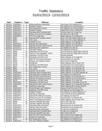| <b>Date</b> | <b>Citation #</b> | Type                    | <b>Offense</b>                       | Location                               |
|-------------|-------------------|-------------------------|--------------------------------------|----------------------------------------|
| 04/23/13    | V902008-2         | т                       | Defective/Broken Windshield          | Van Dusen St & Railroad Ave            |
| 04/24/13    | V901944-1         | Τ                       | Seatbelt Violation                   | US Highway 8 & County Road A           |
| 04/24/13    | V901945-2         | Τ                       | Non-Registration Vehicle             | US Highway 8 & County Road A           |
| 04/25/13    | V901946-3         | Τ                       | Seatbelt Violation                   | Hilgart Rd & Hicks Landing Rd          |
| 04/26/13    | V902178-4         | Τ                       | <b>Operating With Prohibited BAC</b> | County Road H & N Lake Ave             |
| 04/29/13    | V901680-3         | т                       | Driving Too Fast For Conditions      | N Lake Ave & Old 13 Rd                 |
| 04/29/13    | V902009-3         | Τ                       | FYR From Stop Sign                   | State Highway 13 & Raskie Rd           |
| 04/30/13    | 8467              | W                       | Operate W/O Carrying License         | Holy Cross Rd & State Highway 13       |
| 04/30/13    | 8467              | W                       | Tail Lamps                           | Holy Cross Rd & State Highway 13       |
| 05/01/13    | 5075              | $\overline{\mathsf{W}}$ | Unlawful U-Turn                      | State Highway 13 & Springs Dr          |
| 05/01/13    | V901637-2         | Τ                       | <b>Operate After Revocation</b>      | State Highway 13 & Springs Dr          |
| 05/02/13    | V901638-3         | т                       | Operate MV W/O Authzd Person         | State Highway 13 & Aspen Rd            |
| 05/03/13    | V237974-2         | T                       | <b>Operating After Suspension</b>    | US Highway 8 & Elm Dr                  |
| 05/03/13    | V237975-3         | Ŧ                       | Imprudent Speed                      | US Highway 8 & Elm Dr                  |
| 05/04/13    | 8384              | $\overline{W}$          | Speeding in 55 MPH Zone              | County Road W & Eight Mile Creek Rd    |
| 05/04/13    | 8384              | $\overline{W}$          | Failure to Dim Headlights - 500 ft   | County Road W & Eight Mile Creek Rd    |
| 05/06/13    | 8295              | $\overline{W}$          | Speeding in 55 MPH Zone              | Hackett Wayside                        |
| 05/06/13    | 8577              | W                       | Speeding in 55 MPH Zone              | State Highway 13 & Voight Rd           |
| 05/07/13    | 6931              | $\mathsf C$             | Oper MV W/O Proof-Insurance          | County Road K & Lach Rd                |
| 05/07/13    | 6932              | $\mathsf C$             | Exhaust, Air Pollution Control       | Old 13 Rd & Chada Rd                   |
| 05/07/13    | 7153              | $\overline{\text{c}}$   | Headlamps                            | State Highway 182 & Camp 9 Rd          |
| 05/07/13    | 8578              | W                       | Speeding in 55 MPH Zone              | County Road A & County Road K          |
| 05/09/13    | 6837              | $\mathsf C$             | Non-Registration Vehicle             | State Highway 70 & Dynamite Rd         |
| 05/09/13    | 6837              | $\overline{C}$          | <b>Tail Lamps</b>                    | State Highway 70 & Dynamite Rd         |
| 05/09/13    | 8468              | $\overline{\mathsf{W}}$ | Operate Left of Center               | State Highway 13 & Spring Inn Rd       |
| 05/09/13    | V902230-0         | Τ                       | Operating With Prohibited BAC        | State Highway 13 & State Highway 86    |
| 05/09/13    | V902231-1         | T                       | Operating With Prohibited BAC        | US Highway 8 & Hillcrest Rd            |
| 05/09/13    | V901947-4         | Τ                       | Oper MV W/O Proof-Insurance          | State Highway 70 & Dynamite Rd         |
| 05/09/13    | V902232-2         | т                       | Operate MV Without Insurance         | State Highway 13 & County Road A       |
| 05/10/13    | 8579              | W                       | Speeding in 55 MPH Zone              | State Highway 13 & Tower Rd            |
| 05/10/13    | V901639-4         | Τ                       | Speeding in 55 MPH Zone              | State Highway 13 & Maple Grove Rd      |
| 05/10/13    | V901640-5         | T                       | Operate MV W/O Authzd Person         | State Highway 13 & Lugerville Grade Rd |
| 05/11/13    | 8386              | W                       | Fail/Stop at Stop Sign               | State Highway 86 & County Road G       |
| 05/11/13    | G844219-5         | $\overline{\mathsf{T}}$ | Posted Weight Limit Violations       | Squaw Creek Rd & Old 13 Rd             |
| 05/14/13    | V901948-5         | $\overline{\mathsf{T}}$ | Speeding in 55 MPH Zone              | US Highway 8 & Pennington Rd           |
| 05/14/13    | V901949-6         | т                       | Seatbelt Violation                   | US Highway 8 & State Highway 111       |
| 05/14/13    | V902233-3         | т                       | Fail/Stop at Stop Sign               | Town Hall Rd & Divine Rapids Rd        |
| 05/15/13    | V901967-3         |                         | Operate MV Without Insurance         | US Highway 8 & Spur Rd                 |
| 05/16/13    | V901641-6         | т                       | Driving Too Fast For Conditions      | County Road C & Clausen Rd             |
| 05/17/13    | V901619-5         |                         | Minor Transporting Intoxicants       | State Highway 182 & Camp 9 Rd          |
| 05/18/13    | 8469              | W                       | Improper Stop/RR Stop Sign           | Old 13 Rd & Elm Rd                     |
| 05/18/13    | 8470              | $\overline{\mathsf{W}}$ | Improper Stop/RR Stop Sign           | Old 13 Rd & Elm Rd                     |
| 05/18/13    | V902179-5         | т                       | <b>Operating While Intoxicated</b>   | Brantwood Ave & Kauhava Rd             |
| 05/18/13    | V902180-6         | т                       | Operate After Revocation             | Brantwood Ave & Kauhava Rd             |
| 05/18/13    | V901620-6         | т                       | <b>Operating While Intoxicated</b>   | S Lake Ave & Walnut St                 |
| 05/18/13    | V901621-0         | т                       | Operating With Prohibited BAC        | S Lake Ave & Walnut St                 |
| 05/18/13    | V901950-0         | Τ                       | Improper Stop/RR Stop Sign           | Old 13 Rd & Elm Rd                     |
| 05/18/13    | V902151-5         | т                       | Oper MV W/O Proof-Insurance          | Old 13 Rd & Divine Rapids Rd           |
| 05/18/13    | V902181-0         | Τ                       | Violate D/L Restriction              | Brantwood Ave & Kauhava Rd             |
| 05/19/13    | 8471              | W                       | Non-Registration Vehicle             | US Highway 8 & Railroad Ave            |
| 05/19/13    | V902152-6         | T                       | Veh Opr Fail/Wear Seatbelt           | Railroad Ave & US Highway 8            |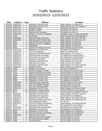| <b>Date</b>          | <b>Citation # Type</b> |                         | <b>Offense</b>                                        | <b>Location</b>                                    |
|----------------------|------------------------|-------------------------|-------------------------------------------------------|----------------------------------------------------|
| 05/19/13             | V902153-0              | Т                       | Speeding in 55 MPH Zone                               | State Highway 13 & Morner Rd                       |
| 05/20/13             | V902234-4              | T                       | Speeding in 55 MPH Zone                               | State Highway 111 & US Highway 8                   |
| 05/21/13             | V237771-2              | T                       | Seatbelt Violation                                    | Flambeau Ave & Elm St                              |
| 05/21/13             | V237772-3              | Τ                       | Seatbelt Violation                                    | Flambeau Ave & Elm St                              |
| 05/21/13             | V237773-4              | т                       | Operate After Revocation                              | Flambeau Ave & Elm St                              |
| 05/21/13             | V901622-1              | т                       | Driving Too Fast For Conditions                       | Cranberry Lake Ln & Little Chicago Rd              |
| 05/22/13             | 7154                   | $\mathsf C$             | Headlamps                                             | Little Chicago Rd & State Highway 13               |
| 05/23/13             | V901968-4              | т                       | Operating While Intoxicated                           | State Highway 13 & Holy Cross Rd                   |
| 05/23/13             | V901969-5              | т                       | Operating With Prohibited BAC                         | State Highway 13 & Holy Cross Rd                   |
| 05/24/13             | 6497                   | $\overline{C}$          | Oper MV W/O Proof-Insurance                           | State Highway 13 & Berg Rd                         |
| 05/24/13             | 6497                   | $\overline{\text{c}}$   | Operate MV W/O 2 Headlights                           | State Highway 13 & Berg Rd                         |
| 05/24/13             | 6497                   | $\overline{C}$          | Windshields                                           | State Highway 13 & Berg Rd                         |
| 05/24/13             | 7064                   | $\overline{\text{c}}$   | Operate MV Without Insurance                          | State Highway 13 & W Lane Rd                       |
| 05/24/13             | V237774-5              | Ŧ                       | Speeding in 55 MPH Zone                               | Flambeau Ave & Maple St                            |
| 05/24/13             | V902010-4              | Ŧ                       | FYR From Stop Sign                                    | Oak St & Flambeau Ave                              |
| 05/24/13             | V902011-5              | Ŧ                       | Operate MV Without Insurance                          | State Highway 111 & Lilac Ln                       |
| 05/25/13             | V902013-0              | Ŧ                       | Operating While Intoxicated                           | US Highway 8 & County Road O                       |
| 05/25/13             | V902014-1              | $\overline{\mathsf{T}}$ | Keep Open Intoxicant in MV                            | US Highway 8 & County Road O                       |
| 05/26/13             | V902015-2              | T                       | Operate Left of Center                                | County Road S & Elk River Rd                       |
| 05/27/13             | V902235-5              | $\mathsf T$             | Speeding in 55 MPH Zone                               | State Highway 13 & Aspen Rd                        |
| 05/28/13             | V902012-6              | Τ                       | Operate Left of Center                                | Lake Ten Rd & The Loop Rd                          |
| 05/29/13             | V237775-6              | Τ                       | Speeding in 55 MPH Zone                               | State Highway 13 & Rock Creek Rd                   |
| 05/29/13             | V902051-3              | Τ                       | Seatbelt Violation                                    | State Highway 13 & Spring Rd                       |
| 05/30/13             | 7065                   | $\mathsf C$             | <b>Weight Limit Violations</b>                        | N Lake Ave & Beebe St                              |
| 05/30/13             | 7155                   | $\mathsf C$             | Failure to Display Lic Plates                         | US Highway 8 & County Road J                       |
| 05/30/13             | 7156                   | $\mathsf C$             | Operate MV Without Insurance                          | County Road D & Crosscut Rd                        |
| 05/30/13             | 7156                   | $\overline{C}$          | Oper MV W/O Proof-Insurance                           | County Road D & Crosscut Rd                        |
| 05/30/13             | 8387                   | W                       | Speeding in 55 MPH Zone                               | US Highway 8 & Woodlawn Rd                         |
| 05/30/13             | 8388                   | $\overline{W}$          | Speeding in 55 MPH Zone                               | US Highway 8 & Woodlawn Rd                         |
| 05/30/13             | 8389                   | W                       | Speeding in 55 MPH Zone                               | US Highway 8 & Schlie Rd                           |
| 05/30/13             | V901623-2              | Τ                       | <b>Operating After Suspension</b>                     | County Road D & Crosscut Rd                        |
| 05/31/13             | V902154-1              | $\mathsf T$             | Veh Opr Fail/Wear Seatbelt                            | County Road E & Tower Rd                           |
| 06/01/13             | V902155-2              | $\mathsf T$             | Veh Opr Fail/Wear Seatbelt                            | Flambeau Ave & Balsam St                           |
| 06/01/13             | V902182-1              | $\overline{\mathsf{T}}$ | Speeding in 55 MPH Zone                               | State Highway 13 & County Road A                   |
| 06/02/13             | 8472                   | $\overline{W}$          | Speeding in Outlying District                         | County Road W & S Soo Lake Rd                      |
| 06/02/13             | 8473                   | $\overline{W}$          | Speeding in Outlying District                         | County Road W & Eight Mile Creek Rd                |
| 06/02/13             | V902156-3              | т                       | Speeding in 55 MPH Zone                               | State Highway 70 & Sailor Lake Rd                  |
| 06/03/13             | V901681-4              |                         | <b>Operating After Suspension</b>                     | Granberg Rd & US Highway 8                         |
| 06/03/13             | V902016-3              | т                       | Speeding in 55 MPH Zone                               | State Highway 13 & Macky Spur Rd                   |
| 06/03/13             | V902017-4              | т                       | Operate MV Without Insurance                          | State Highway 13 & Macky Spur Rd                   |
| 06/03/13             | V902052-4              | т                       | Non-Registration Vehicle                              | S Lake Ave                                         |
| 06/03/13             | V902183-2              | т                       | Hit & Run Property Adj Highway                        | State Highway 70 & Shady Knoll Rd                  |
| 06/06/13             | 8474                   | W                       | Speeding in 55 MPH Zone                               | US Highway 8 & County Road I                       |
| 06/06/13             | V902184-3              | T                       | Operating With Prohibited BAC                         | Brantwood Ave & Kauhava Rd                         |
| 06/06/13             | V902157-4              | Τ                       | Speeding in 55 MPH Zone                               | US Highway 8 & Hannula Rd                          |
| 06/07/13             | 8390                   | W                       | Speeding in 55 MPH Zone                               | State Highway 13 & Colberg Rd                      |
| 06/07/13             | 8390                   | W<br>$\mathsf T$        | <b>Obstructed Drivers Vision/Hang</b>                 | State Highway 13 & Colberg Rd                      |
| 06/07/13             | V902018-5              | $\mathbf C$             | Operate Left of Center                                | County Road E & Fleming Rd                         |
| 06/08/13             | 7066                   | $\overline{C}$          | Oper MV W/O Proof-Insurance                           | County Road K & Lach Rd<br>County Road K & Lach Rd |
| 06/08/13<br>06/08/13 | 7066<br>7066           | $\mathbf C$             | No Muffler/Defective Muffler<br><b>Tinted Windows</b> | County Road K & Lach Rd                            |
|                      |                        |                         |                                                       |                                                    |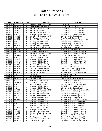| <b>Date</b> | Citation # Type |                         | <b>Offense</b>                          | Location                             |
|-------------|-----------------|-------------------------|-----------------------------------------|--------------------------------------|
| 06/08/13    | 8297            | W                       | <b>Exceed Zoned &amp; Posted Limits</b> | <b>Willow Ave</b>                    |
| 06/08/13    | V902020-0       | $\mathsf T$             | <b>Excessive Tint Side Window</b>       | County Road K & Lach Rd              |
| 06/09/13    | V901887-0       | т                       | <b>Operating While Intoxicated</b>      | State Highway 111 & Shortcut Rd      |
| 06/09/13    | V901888-1       | т                       | Operate Left of Center                  | State Highway 111 & Shortcut Rd      |
| 06/09/13    | V901889-2       | т                       | Operating With Prohibited BAC           | State Highway 111 & Shortcut Rd      |
| 06/10/13    | 8475            | W                       | Speeding in 55 MPH Zone                 | State Highway 13 & Holy Cross Rd     |
| 06/10/13    | V902019-6       | т                       | <b>Operating With Prohibited BAC</b>    | US Highway 8 & County Road O         |
| 06/11/13    | V902236-6       | Τ                       | Non-Registration Vehicle                | Price Rd & US Highway 8              |
| 06/13/13    | V901971-0       | T                       | Operating While Intoxicated             | County Road W & Danish Settlement Rd |
| 06/16/13    | 8391            | $\overline{\mathsf{W}}$ | Speeding in 55 MPH Zone                 | State Highway 13 & Shortcut Rd       |
| 06/17/13    | 8392            | $\overline{\mathsf{W}}$ | Speeding in 55 MPH Zone                 | State Highway 13 & Johnson Ave       |
| 06/17/13    | V901624-3       | $\overline{\mathsf{T}}$ | <b>Operating After Suspension</b>       | County Road W & Cemetery Rd          |
| 06/20/13    | 7158            | $\overline{C}$          | Operate MV Without Insurance            | State Highway 13 & Whitby Rd         |
| 06/20/13    | V901531-1       | Ŧ                       | Inattentive Driving                     | Tower Rd & County Road E             |
| 06/20/13    | V902237-0       | Ŧ                       | Absolute Sobriety Under 21              | State Highway 13 & County Road A     |
| 06/20/13    | V902238-1       | Ŧ                       | Operate MV Without Insurance            | State Highway 13 & County Road A     |
| 06/21/13    | V901642-0       | $\overline{\mathsf{T}}$ | Fail Notify Police of Accident          | County Road S & North Rd             |
| 06/22/13    | 6498            | $\mathsf C$             | Exhaust, Air Pollution Control          | State Highway 13 & Hilly Haven Ln    |
| 06/22/13    | V901643-1       | $\overline{\mathsf{T}}$ | Speeding in 55 MPH Zone                 | State Highway 13 & Simon Rd          |
| 06/22/13    | V901644-2       | т                       | Speeding in 55 MPH Zone                 | State Highway 13 & Rock Creek Rd     |
| 06/23/13    | V901645-3       | Τ                       | Speeding in 55 MPH Zone                 | State Highway 86 & Sugar Bush Rd     |
| 06/23/13    | V901890-3       | т                       | <b>Operating While Intoxicated</b>      | S Avon Ave & N Avon Ave              |
| 06/23/13    | V901891-4       | Τ                       | <b>Operating With Prohibited BAC</b>    | S Avon Ave & N Avon Ave              |
| 06/23/13    | V902021-1       | т                       | Failure to Attach Plate to ATV          | Boat Landing Rd & Logging Dam Rd     |
| 06/23/13    | V902022-2       | т                       | <b>Operating While Intoxicated</b>      | Flambeau Ave & Cherry St             |
| 06/23/13    | V902023-3       | Τ                       | Operate Left of Center                  | State Highway 13 & Grunerwald Rd     |
| 06/24/13    | 6740            | $\mathsf C$             | <b>Tail Lamps</b>                       | S 1st St & S 2nd Ave                 |
| 06/24/13    | 6741            | $\overline{C}$          | Non Registration of ATV                 | S 1st St & Birch St                  |
| 06/25/13    | V901830-6       | $\overline{\mathsf{T}}$ | <b>Imprudent Speed</b>                  | Ogema Prentice Rd & Morner Rd        |
| 06/26/13    | 8393            | W                       | Speeding in 55 MPH Zone                 | State Highway 13 & Larkin Rd         |
| 06/26/13    | V901646-4       | $\overline{\mathsf{T}}$ | Pass in No-Passing Zone                 | State Highway 13 & Shortcut Rd       |
| 06/28/13    | 5090            | $\overline{C}$          | Non-Registration Vehicle                | County Road W & US Highway 100       |
| 06/28/13    | 8551            | W                       | Speeding in 55 MPH Zone                 | State Highway 13 & Bennett Rd        |
| 06/28/13    | 8552            | W                       | Speeding in 55 MPH Zone                 | US Highway 8 & County Road I         |
| 06/28/13    | V901972-1       | $\overline{\mathsf{T}}$ | Operating With Prohibited BAC           | County Road W & Danish Settlement Rd |
| 06/29/13    | V902158-5       | т                       | <b>Operating After Suspension</b>       | Flambeau Ave & Balsam St             |
| 06/30/13    | V902239-2       | Т                       | <b>Operating While Intoxicated</b>      | City Wells Rd & State Highway 182    |
| 06/30/13    | V902240-3       |                         | <b>Operating With Prohibited BAC</b>    | City Wells Rd & State Highway 182    |
| 07/02/13    | 8580            | W                       | Speeding in 55 MPH Zone                 | State Highway 13 & Spring Rd         |
| 07/02/13    | V901647-5       | Τ                       | Speeding in 55 MPH Zone                 | State Highway 13 & Maple Grove Rd    |
| 07/03/13    | 8553            | $\overline{\mathsf{W}}$ | Speeding in 55 MPH Zone                 | State Highway 70 & Turner Lake Rd    |
| 07/03/13    | 8554            | W                       | Speeding in 55 MPH Zone                 | State Highway 70 & Turner Lake Rd    |
| 07/03/13    | 8555            | W                       | Speeding in 55 MPH Zone                 | State Highway 70 & Turner Lake Rd    |
| 07/03/13    | V237882-1       | T                       | Fail/Yield When Entering Alley          | State Highway 13 & Dama Rd           |
| 07/04/13    | 8556            | W                       | Speeding in 55 MPH Zone                 | State Highway 86 & County Road D     |
| 07/04/13    | V902159-6       | $\mathsf T$             | <b>Operating After Suspension</b>       | State Highway 86 & County Road D     |
| 07/04/13    | V902160-0       | $\mathsf T$             | Operate MV Without Insurance            | State Highway 86 & County Road D     |
| 07/05/13    | 8543            | W                       | Operate Left of Center                  | County Road D & County Road H        |
| 07/05/13    | V902024-4       | $\overline{\mathsf{T}}$ | Non Registration of ATV                 | Centerville Rd & State Highway 13    |
| 07/05/13    | V902025-5       | $\mathsf T$             | Transp Child in Trk Cargo Area          | County Road N & Little Rapids Rd     |
| 07/05/13    | V902076-0       | т                       | FYR From Stop Sign                      | W Solberg Lake Rd & County Park Rd   |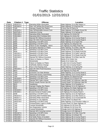| <b>Date</b> | <b>Citation # Type</b> |                         | <b>Offense</b>                        | Location                               |
|-------------|------------------------|-------------------------|---------------------------------------|----------------------------------------|
| 07/06/13    | V901973-2              | Τ                       | Operating While Intoxicated           | State Highway 13 & Hilly Haven Ln      |
| 07/08/13    | V901683-6              | т                       | Oper Veh W/Reg Rev/Susp/Canc          | State Highway 13 & Bennett Rd          |
| 07/09/13    | 7160                   | $\mathsf C$             | Improper Display (No Plates)          | N Avon Ave & Cherry St                 |
| 07/09/13    | V901625-4              | Τ                       | Oper W/Detectable Amount Cont         | State Highway 13 & Maple Grove Rd      |
| 07/09/13    | Q097528-4              | Τ                       | <b>Inattentive Driving</b>            | State Highway 13 & Springs Dr          |
| 07/10/13    | V902185-4              | т                       | Operating While Intoxicated           | US Highway 8 & Schie Rd                |
| 07/10/13    | V902186-5              | Τ                       | Operating With Prohibited BAC         | US Highway 8 & Schie Rd                |
| 07/12/13    | 7162                   | C                       | Operate MV Without Insurance          | State Highway 13 & County Road A       |
| 07/12/13    | 7162                   | $\overline{C}$          | Oper MV W/O Proof-Insurance           | State Highway 13 & County Road A       |
| 07/12/13    | 8394                   | $\overline{W}$          | Speeding in 55 MPH Zone               | State Highway 13 & Aspen Rd            |
| 07/12/13    | 8395                   | $\overline{\mathsf{W}}$ | Speeding in 55 MPH Zone               | US Highway 8 & Wayman Rd               |
| 07/12/13    | 8396                   | $\overline{\mathsf{W}}$ | Failure to Dim Headlights - 500 ft    | US Highway 8 & Pikes Peak Rd           |
| 07/13/13    | 6839                   | $\overline{C}$          | Improperly Attached Lic Plates        | State Highway 70 & Riley Lake Rd       |
| 07/13/13    | 8557                   | $\overline{W}$          | Speeding in 55 MPH Zone               | Shady Knoll Rd & Whitmore Rd           |
| 07/13/13    | 8558                   | $\overline{\mathsf{W}}$ | Speeding in 55 MPH Zone               | State Highway 70 & Shady Knoll Rd      |
| 07/13/13    | V902161-1              | Τ                       | Speeding in 55 MPH Zone               | State Highway 70 & Sailor Lake Rd      |
| 07/13/13    | V902162-2              | Τ                       | Speeding in 55 MPH Zone               | State Highway 70 & Shady Knoll Rd      |
| 07/13/13    | V902163-3              | Τ                       | Operate MV Without Insurance          | State Highway 70 & Riley Lake Rd       |
| 07/14/13    | 6840                   | C                       | Failure to Display Lic Plates         | Beebe St & Center Ave                  |
| 07/14/13    | 6840                   | $\mathbf C$             | Windshields                           | Beebe St & Center Ave                  |
| 07/14/13    | 6841                   | $\mathsf C$             | Failure to Display Lic Plates         | N Lake Ave & County Road F             |
| 07/14/13    | 6841                   | $\overline{C}$          | Fail/Notify Address Change            | N Lake Ave & County Road F             |
| 07/14/13    | 8560                   | W                       | Pass in No-Passing Zone               | State Highway 13 & Spring Rd           |
| 07/14/13    | V902164-4              | T                       | Oper MV W/O Proof-Insurance           | N Lake Ave & County Road F             |
| 07/15/13    | 6814                   | C                       | Headlamps                             | US Highway 8 & Pass Rd                 |
| 07/16/13    | 7163                   | $\overline{\text{c}}$   | <b>Excessive Tint Side Window</b>     | State Highway 13 & County Road G       |
| 07/16/13    | 7163                   | $\mathsf C$             | <b>Obstructed Drivers Vision/Hang</b> | State Highway 13 & County Road G       |
| 07/17/13    | 7294                   | W                       | Speeding in 55 MPH Zone               | US Highway 8 & Beaumont Rd             |
| 07/19/13    | V901648-6              | T                       | Speeding in 55 MPH Zone               | US Highway 8 & E Branch Rd             |
| 07/19/13    | V902276-4              | T                       | Operate W/O Valid License             | County Road F & N Minnow Lake Rd       |
| 07/19/13    | V902277-5              | T                       | Permit Unauth Person Opr MV           | County Road F & N Minnow Lake Rd       |
| 07/21/13    | 6815                   | $\mathbf C$             | Headlamps                             | State Highway 13 & Paradise Ln         |
| 07/21/13    | 6816                   | $\mathsf C$             | Improper Display (No Plates)          | State Highway 13 & US Highway 8        |
| 07/21/13    | 8581                   | W                       | Speeding in 55 MPH Zone               | US Highway 8 & State Highway 111       |
| 07/21/13    | V901649-0              | т                       | Speeding in 55 MPH Zone               | US Highway 8 & Hay Creek Rd            |
| 07/21/13    | V901650-1              | т                       | Exceed Zoned & Posted Limits          | US Highway 8 & County Road A           |
| 07/22/13    | 8298                   | $\overline{\mathsf{W}}$ | Speeding in 55 MPH Zone               | State Highway 13 & US Highway 8        |
| 07/25/13    | V901974-3              |                         | Operating With Prohibited BAC         | State Highway 13 & Hilly Haven Ln      |
| 07/25/13    | V902077-1              | т                       | Operating While Intoxicated           | State Highway 13 & Grunerwald Rd       |
| 07/25/13    | V902278-6              | т                       | Speeding on City Highway              | County Road H & Beach Rd               |
| 07/25/13    | V902279-0              | т                       | Speeding in 55 MPH Zone               | State Highway 13 & Princeton Valley Ln |
| 07/26/13    | 7164                   | $\overline{\text{c}}$   | Unclean/Defect Lights or Refle        | County Road A & State Highway 13       |
| 07/26/13    | 7165                   | $\overline{\text{c}}$   | <b>Cracked Windshield</b>             | US Highway 8 & W Knox Rd               |
| 07/26/13    | 7165                   | C                       | Non-Registration Vehicle              | US Highway 8 & W Knox Rd               |
| 07/26/13    | 7166                   | $\overline{\text{c}}$   | <b>Cracked Windshield</b>             | Chicago Ave & US Highway 8             |
| 07/26/13    | 7166                   | $\overline{C}$          | Operate W/O Carrying License          | Chicago Ave & US Highway 8             |
| 07/26/13    | V902187-6              | T                       | Speeding in 55 MPH Zone               | State Highway 13 & Holy Cross Rd       |
| 07/29/13    | V902078-2              | T                       | Operate Left of Center                | State Highway 13 & Boyer Rd            |
| 07/29/13    | V902188-0              | т                       | Fail Notify Police of Accident        | State Highway 86 & County Road C       |
| 07/29/13    | V902189-1              | т                       | Operate MV Without Insurance          | State Highway 86 & County Road C       |
| 07/29/13    | V902190-2              | т                       | Inattentive Driving                   | State Highway 86 & County Road C       |
|             |                        |                         |                                       |                                        |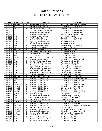| <b>Date</b> | <b>Citation # Type</b> |                         | <b>Offense</b>                        | <b>Location</b>                              |
|-------------|------------------------|-------------------------|---------------------------------------|----------------------------------------------|
| 07/30/13    | V901892-5              | т                       | Non-Registration Vehicle              | Rock Creek Rd & State Highway 13             |
| 07/31/13    | 6817                   | C                       | Operate W/O Required Lamps            | State Highway 182 & Cedar St                 |
| 07/31/13    | V902165-5              | т                       | Operate MV Without Insurance          | Flambeau Ave & Elm St                        |
| 08/01/13    | 7167                   | C                       | Passenger Obstruct Driver Oper        | State Highway 13 & Old 13 Rd                 |
| 08/01/13    | 7167                   | $\mathsf C$             | No Muffler/Defective Muffler          | State Highway 13 & Old 13 Rd                 |
| 08/01/13    | 8561                   | W                       | Speeding in 55 MPH Zone               | County Road A & County Road K                |
| 08/02/13    | 8398                   | W                       | Speeding on City Highway              | N 4th Ave & N 9th St                         |
| 08/02/13    | 8399                   | W                       | FYR From Stop Sign                    | State Highway 13 & Tower Ln                  |
| 08/03/13    | 7168                   | $\overline{C}$          | No Muffler/Defective Muffler          | State Highway 13 & Tower Rd                  |
| 08/03/13    | 7169                   | $\overline{\text{c}}$   | Improperly Attatched Lic Plates       | N 9th St & N 3rd Ave                         |
| 08/03/13    | 7169                   | $\overline{C}$          | No Muffler/Defective Muffler          | N 9th St & N 3rd Ave                         |
| 08/03/13    | 8400                   | $\overline{W}$          | Speeding in 55 MPH Zone               | State Highway 13 & Tower Rd                  |
| 08/03/13    | 8601                   | $\overline{W}$          | Speeding on City Highway              | N 1st Ave & N 9th St                         |
| 08/03/13    | V902201-6              | Ŧ                       | Speeding in 55 MPH Zone               | State Highway 13 & Pine Ln                   |
| 08/04/13    | 7170                   | $\overline{C}$          | Oper MV W/O Proof-Insurance           | S 5th Ave & S 1st St                         |
| 08/04/13    | 7170                   | $\overline{C}$          | Improper Vehicle Tail Lights          | S 5th Ave & S 1st St                         |
| 08/04/13    | 8602                   | $\overline{\mathsf{W}}$ | FYR From Stop Sign                    | N 9th St & N 3rd Ave                         |
| 08/04/13    | V902280-1              | Τ                       | Oper Veh W/Reg Rev/Susp/Canc          | N 9th St & N 2nd Ave                         |
| 08/06/13    | 8607                   | W                       | Speeding in 55 MPH Zone               | State Highway 70 & Hemlock Rd                |
| 08/08/13    | 7172                   | $\mathsf C$             | Operate W/O Carrying License          | Railroad Ave & Cherry St                     |
| 08/08/13    | 7172                   | $\mathsf C$             | Oper MV W/O Proof-Insurance           | Railroad Ave & Cherry St                     |
| 08/08/13    | 7173                   | $\overline{C}$          | Non-Registration Vehicle              | Granberg Rd & US Highway 8                   |
| 08/08/13    | 7173                   | $\mathsf C$             | Improper Display (No Plates)          | Granberg Rd & US Highway 8                   |
| 08/08/13    | 7174                   | $\mathsf C$             | Unclean/Defect Lights or Refle        | Flambeau Ave & Storms Rd                     |
| 08/08/13    | 7175                   | $\mathsf C$             | Oper MV W/O Proof-Insurance           | US Highway 8 & County Road A                 |
| 08/08/13    | 7175                   | $\overline{\text{c}}$   | Unclean/Defect Lights or Refle        | US Highway 8 & County Road A                 |
| 08/08/13    | 8603                   | W                       | Speeding in 55 MPH Zone               | State Highway 13 & Aspen Rd                  |
| 08/08/13    | V902281-2              | $\top$                  | <b>Operating After Suspension</b>     | US Highway 8 & Granberg Rd                   |
| 08/09/13    | 8604                   | W                       | Speeding in 55 MPH Zone               | State Highway 70 & Clover Creek Rd           |
| 08/09/13    | 8605                   | $\overline{W}$          | Speeding in 55 MPH Zone               | State Highway 70 & Hemlock Rd                |
| 08/09/13    | 8606                   | W                       | Speeding in 55 MPH Zone               | State Highway 70 & Riley Lake Rd             |
| 08/09/13    | V902282-3              | $\top$                  | Speeding in 55 MPH Zone               | State Highway 70 & Hemlock Rd                |
| 08/10/13    | V902241-4              | $\top$                  | Speeding in 55 MPH Zone               | State Highway 13 & Westberg Rd               |
| 08/11/13    | V902166-6              | т                       | Speeding in 55 MPH Zone               | US Highway 8 & Aspen Rd                      |
| 08/11/13    | V902167-0              | т                       | Speeding in 55 MPH Zone               | State Highway 13 & Sunrise Ln                |
| 08/11/13    | V902168-1              | т                       | Speeding in 55 MPH Zone               | State Highway 13 & US Highway 8              |
| 08/12/13    | Q097537-6              | т                       | <b>Inattentive Driving</b>            | US Highway 8 & Price Rd                      |
| 08/13/13    | 6499                   | C                       | No Muffler/Defective Muffler          | State Highway 13 & Whitby Rd                 |
| 08/13/13    | 6500                   | $\overline{\text{c}}$   | Non-Registration Vehicle              | Progress St & Center St                      |
| 08/13/13    | 7067                   | $\overline{\mathsf{W}}$ | Operate MV Without Insurance          | N Minnow Lake Rd                             |
| 08/15/13    | Q098201-5              | т                       | Imprudent Speed                       | County Road F & Tingo Rd                     |
| 08/17/13    | 8583                   | $\overline{\mathsf{W}}$ | Speeding in 55 MPH Zone               | State Highway 70 & Chizek Rd                 |
| 08/17/13    | V901751-4              | т                       | Speeding in 55 MPH Zone               | State Highway 70 & Pixley Wilderness West Rd |
| 08/17/13    | V901975-4              | Τ                       | Operating While Intoxicated           | County Road W                                |
| 08/17/13    | V902079-3              | Τ                       | Speeding on Semiurban Highway         | Dama Rd & State Highway 13                   |
| 08/18/13    | V902026-6              | т                       | <b>Absolute Sobriety Under 21</b>     | State Highway 13 & Spring Inn Rd             |
| 08/19/13    | 6818                   | $\overline{C}$          | Operate MV W/O 2 Headlights           | US Highway 8 & Woodlawn Rd                   |
| 08/19/13    | V901893-6              | T                       | Fail Notify Police of Accident        | N Lake Ave & Old 13 Rd                       |
| 08/21/13    | 7176                   | $\mathsf C$             | Operate MV Without Insurance          | S Lake Ave & Oak St                          |
| 08/21/13    | 7176                   | $\mathsf C$             | <b>Obstructed Drivers Vision/Load</b> | S Lake Ave & Oak St                          |
| 08/21/13    | 7176                   | $\mathsf C$             | No Muffler/Defective Muffler          | S Lake Ave & Oak St                          |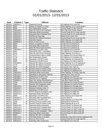| <b>Date</b>           | Citation # Type |                         | <b>Offense</b>                          | <b>Location</b>                           |
|-----------------------|-----------------|-------------------------|-----------------------------------------|-------------------------------------------|
| 08/22/13              | V902191-3       | т                       | <b>Inattentive Driving</b>              | US Highway 8 & Lound Rd                   |
| 08/25/13              | 6842            | $\mathsf C$             | Failure to Display Lic Plates           | State Highway 13 & County Road X          |
| 08/25/13              | 6843            | $\mathsf C$             | Non-Registration Vehicle                | County Road N & Burr Oak Rd               |
| 08/25/13              | V902169-2       | т                       | Oper MV W/O Proof-Insurance             | Burr Oak Rd & County Road N               |
| 08/25/13              | V902242-5       | Τ                       | <b>Operating While Intoxicated</b>      | County Road W & S Long Lake Rd            |
| 08/25/13              | V902243-6       | Т                       | Operating With Prohibited BAC           | County Road W & S Long Lake Rd            |
| 08/25/13              | V902244-0       | Τ                       | Fail/Stop at Stop Sign                  | Beebe St & N Avon Ave                     |
| 08/25/13              | V902245-1       | Т                       | Operate MV Without Insurance            | County Road W & S Long Lake Rd            |
| 08/26/13              | Q098202-6       | T                       | Imprudent Speed                         | State Highway 13 & Aspen Rd               |
| 08/26/13              | Q098203-0       | т                       | Pass on Hill or Curve                   | State Highway 13 & Aspen Rd               |
| $\overline{08/29/13}$ | 6844            | $\overline{\text{c}}$   | Failure to Display Lic Plates           | S Lake Ave & Chestnut St                  |
| 08/29/13              | 6844            | $\overline{C}$          | <b>Operating After Suspension</b>       | S Lake Ave & Chestnut St                  |
| 08/29/13              | 6844            | $\overline{\mathsf{C}}$ | Oper MV W/O Proof-Insurance             | S Lake Ave & Chestnut St                  |
| 08/29/13              | V902246-2       | $\overline{\mathsf{T}}$ | Speeding in 55 MPH Zone                 | US Highway 8 & Lound Rd                   |
| 08/30/13              | 6501            | $\overline{C}$          | Operate MV W/O 2 Headlights             | US Highway 8 & Cemetery Rd                |
| 08/30/13              | 6742            | $\overline{C}$          | Oper MV W/O Proof-Insurance             | State Highway 13 & Pine Ln                |
| 08/30/13              | 7177            | $\overline{C}$          | Unclean/Defect Lights or Refle          | US Highway 8 & County Road YY             |
| 08/30/13              | 7178            | $\mathsf C$             | Non-Registration Vehicle                | US Highway 8 & Cemetery Rd                |
| 08/30/13              | 8403            | W                       | Speeding in 55 MPH Zone                 | State Highway 13 & Bennett Rd             |
| 08/30/13              | 8608            | W                       | Speeding in 55 MPH Zone                 | US Highway 8 & Pikes Peak Rd              |
| 08/30/13              | V901894-0       | Τ                       | Operate MV Without Insurance            | State Highway 13 & US Highway 8           |
| 08/31/13              | 7179            | $\mathsf C$             | Operate MV Without Insurance            | US Highway 8 & County Road A              |
| 08/31/13              | 8227            | $\overline{W}$          | Operate ATV W/O Headgear                | Van Dusen St & Town St                    |
| 08/31/13              | 8299            | W                       | Exceed Zoned & Posted Limits            | US Highway 8 & Aspen Rd                   |
| 08/31/13              | 8609            | W                       | Exceed Zoned & Posted Limits            | US Highway 8 & Railroad Ave               |
| 08/31/13              | V902283-4       | Τ                       | <b>Operating While Intoxicated</b>      | State Highway 70 & Riley Lake Rd          |
| 08/31/13              | V901752-5       | Τ                       | Speeding on Semiurban Highway           | Agenda Rd & Hoot Owl Rd                   |
| 08/31/13              | V901895-1       | $\overline{\mathsf{T}}$ | Speeding in 55 MPH Zone                 | US Highway 8 & Old 8 Rd                   |
| 08/31/13              | V902080-4       | $\overline{\mathsf{T}}$ | Operate ATV on Highway                  | US Highway 8 & Cemetery Rd                |
| 08/31/13              | V902081-5       | T                       | Oper Veh W/Reg Rev/Susp/Canc            | Lake Rd & South Fork Rd                   |
| 09/01/13              | 7180            | $\mathsf C$             | <b>Obstructed Drivers Vision/Load</b>   | US Highway 8 & County Road A              |
| 09/01/13              | 7180            | $\overline{C}$          | Operate W/O Required Lamps              | US Highway 8 & County Road A              |
| 09/01/13              | V901753-6       | Τ                       | Speeding in 55 MPH Zone                 | US Highway 8 & Chicago Ave                |
| 09/01/13              | V902284-5       | T                       | <b>Absolute Sobriety Under 21</b>       | US Highway 8 & County Road A              |
| 09/03/13              | V902171-4       | Τ                       | Speeding in 55 MPH Zone                 | US Highway 8 & County Road A              |
| 09/03/13              | V902172-5       | Т                       | FYR to Stop for Emergency Veh           | US Highway 8 & Miller Rd                  |
| 09/03/13              | V902170-3       | т                       | Operating While Intoxicated             | US Highway 8 & Miller Rd                  |
| 09/04/13              | 8300            | w                       | Speeding in 55 MPH Zone                 | State Highway 13 & Aspen Rd               |
| 09/04/13              | V902027-0       | Τ                       | Operating With Prohibited BAC           | County Road W                             |
| 09/06/13              | V902247-3       | т                       | Speeding in 55 MPH Zone                 | State Highway 13 & Simon Rd               |
| 09/07/13              | 7295            | $\overline{W}$          | Exceed Zoned & Posted Limits            | Agenda Rd & N River Rd                    |
| 09/07/13              | 8562            | $\overline{\mathsf{W}}$ | <b>Exceed Zoned &amp; Posted Limits</b> | State Highway 86 & 1st St                 |
| 09/08/13              | V902173-6       | Τ                       | <b>Operating While Intoxicated</b>      | County Road F & Shortcut Rd               |
| 09/08/13              | V902174-0       | т                       | Operating With Prohibited BAC           | County Road F & Shortcut Rd               |
| 09/08/13              | Q097803-6       | Τ                       | <b>Operating With Prohibited BAC</b>    | County Road N & Web Creek Rd              |
| 09/08/13              | Q097804-0       | $\mathsf T$             | Failure to Dim Headlights - 500 ft      | County Road N & Web Creek Rd              |
| 09/08/13              | Q098204-1       | т                       | Operating While Intoxicated             | County Road N & Web Creek Rd              |
| 09/09/13              | 6820            | $\overline{C}$          | Operate MV W/O 2 Headlights             | Town St                                   |
| 09/09/13              | V901754-0       | T                       | Fail Notify Police of Accident          | Carpenter Creek Rd & Danish Settlement Rd |
| 09/10/13              | V901755-1       | Τ                       | Pass on Hill or Curve                   | County Road W & S Long Lake Rd            |
| 09/10/13              | V902202-0       | т                       | <b>Operating After Suspension</b>       | US Highway 8 & Town St                    |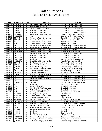| <b>Date</b> | Citation # Type |                         | <b>Offense</b>                          | Location                            |
|-------------|-----------------|-------------------------|-----------------------------------------|-------------------------------------|
| 09/11/13    | Q097601-0       | т                       | Oper MV W/O Proof-Insurance             | County Road F & Shortcut Rd         |
| 09/11/13    | Q097602-1       | Ŧ                       | <b>Non-Registration Vehicle</b>         | County Road F & Shortcut Rd         |
| 09/12/13    | Q098205-2       | Τ                       | Failure to Display Lic Plates           | State Highway 111 & Sykora Ln       |
| 09/12/13    | Q098901-5       | Τ                       | Speeding in 55 MPH Zone                 | State Highway 111 & Sykora Ln       |
| 09/12/13    | Q098902-6       | т                       | Speeding in 55 MPH Zone                 | State Highway 70 & County Road F    |
| 09/14/13    | <b>HJ900C3B</b> | W                       | Owner Resp/Improp Equip Veh             | Morner Rd & Ogema Prentice Rd       |
| 09/14/13    | J900C3B01       | W                       | <b>Mirrors</b>                          | Ogema Prentice Rd & Morner Rd       |
| 09/17/13    | Q097805-1       | т                       | Operate MV Without Insurance            | State Highway 13 & W Lane Rd        |
| 09/18/13    | Q098206-3       | т                       | Pass in No-Passing Zone                 | US Highway 8 & Spur Rd              |
| 09/19/13    | 8584            | $\overline{\mathsf{W}}$ | <b>Exceed Zoned &amp; Posted Limits</b> | Agenda Rd & Cross Rd                |
| 09/19/13    | 8585            | $\overline{\mathsf{W}}$ | Exceed Zoned & Posted Limits            | Agenda Rd & Cross Rd                |
| 09/19/13    | J900C3B03       | $\overline{\mathsf{W}}$ | Operate MV Without Insurance            | State Highway 13 & White Rock Rd    |
| 09/19/13    | J900C3B03       | $\overline{\mathsf{W}}$ | No Muffler/Defective Muffler            | State Highway 13 & White Rock Rd    |
| 09/19/13    | J900C3B04       | $\overline{\mathsf{W}}$ | <b>Exceed Zoned &amp; Posted Limits</b> | Agenda Rd & Cross Rd                |
| 09/20/13    | HJ900J1GF       | $\overline{\mathsf{W}}$ | Exceed Zoned & Posted Limits            | Agenda Rd & Hoot Owl Rd             |
| 09/20/13    | J900FKD6R       | $\overline{\mathsf{W}}$ | Operate W/O Required Lamps              | State Highway 13 & Dama Rd          |
| 09/20/13    | J900FKD6S       | $\overline{\mathsf{W}}$ | Speeding in 55 MPH Zone                 | State Highway 13 & Larkin Rd        |
| 09/20/13    | J900FKD6T       | W                       | Speeding in 55 MPH Zone                 | State Highway 13 & Larkin Rd        |
| 09/20/13    | J900FKD6V       | W                       | Headlamps                               | US Highway 8 & County Road A        |
| 09/20/13    | J900J1GFL       | W                       | Exceed Zoned & Posted Limits            | Agenda Rd & Hoot Owl Rd             |
| 09/20/13    | Q098903-0       | Τ                       | Non-Registration Vehicle                | Riverview Rd & US Highway 8         |
| 09/20/13    | Q098904-1       | Τ                       | Operate MV Without Insurance            | Riverview Rd & US Highway 8         |
| 09/20/13    | Q099102-3       | Τ                       | Pass in No-Passing Zone                 | State Highway 13 & Larkin Rd        |
| 09/20/13    | Q099103-4       | т                       | Oper MV W/O Proof-Insurance             | County Road A & US Highway 8        |
| 09/22/13    | J900J1GFJ       | W                       | Speeding in 55 MPH Zone                 | State Highway 111 & Link Rd         |
| 09/22/13    | J900RFP3G       | W                       | Speeding in 55 MPH Zone                 | Agenda Rd & Hoot Owl Rd             |
| 09/22/13    | Q099501-3       | т                       | Possess Open Intoxicants in MV          | Cedar St                            |
| 09/23/13    | 7002            | C                       | Speeding in 55 MPH Zone                 | State Highway 13 & Lake Shore Dr    |
| 09/23/13    | 7002            | $\overline{\text{c}}$   | <b>Obstructed Drivers Vision/Sign</b>   | State Highway 13 & Lake Shore Dr    |
| 09/23/13    | 7002            | $\overline{\text{c}}$   | Windshields                             | State Highway 13 & Lake Shore Dr    |
| 09/23/13    | Q098207-4       | T                       | <b>Imprudent Speed</b>                  | County Road F & Mount Pelee Rd      |
| 09/24/13    | 6821            | $\overline{C}$          | Headlamps                               | US Highway 8 & Granberg Rd          |
| 09/25/13    | 7181            | $\overline{\mathsf{W}}$ | <b>Cracked Windshield</b>               | Birch St & Sherry Ave               |
| 09/25/13    | 7181            | $\overline{W}$          | Oper MV W/O Proof-Insurance             | Birch St & Sherry Ave               |
| 09/25/13    | 7181            | $\overline{\mathsf{W}}$ | Unclean/Defect Lights or Refle          | Birch St & Sherry Ave               |
| 09/25/13    | 8610            | $\overline{\mathsf{W}}$ | Speeding in 55 MPH Zone                 | County Road F & North Rd            |
| 09/25/13    | 00DBC3G         | $\overline{\mathsf{W}}$ | Speeding on City Highway                | W Central Ave                       |
| 09/25/13    | 00DBC3H         | W                       | <b>Exceed Zoned &amp; Posted Limits</b> | Agenda Rd                           |
| 09/25/13    | 00DBC3J         | W                       | Speeding in 55 MPH Zone                 | <b>Holy Cross Rd</b>                |
| 09/25/13    | HJ900DBC        | W                       | <b>Exceed Zoned &amp; Posted Limits</b> | Agenda Rd & Hoot Owl Rd             |
| 09/25/13    | J900DBC3G       | W                       | Speeding on City Highway                | W Central Ave & Elm St              |
| 09/25/13    | J900DBC3J       | W                       | Speeding in 55 MPH Zone                 | State Highway 13 & Holy Cross Rd    |
| 09/25/13    | V902203-1       | т                       | <b>Operating While Intoxicated</b>      | County Road G & Bjorklund Rd        |
| 09/25/13    | V901896-2       | т                       | Hit & Run Unattended Vehicle            | Holmes St & 1st St                  |
| 09/26/13    | 00DBC3M         | W                       | <b>Obstructed Drivers Vision/Hang</b>   | State Highway 13                    |
| 09/26/13    | 00FKD6X         | W                       | Headlamps                               | State Highway 13                    |
| 09/26/13    | 00FKD6Z         | W                       | <b>Headlamps</b>                        | County Road G                       |
| 09/27/13    | 6374            | $\mathsf C$             | No Muffler/Defective Muffler            | West Rd & Main St                   |
| 09/27/13    | J900DBC3L       | W                       | Operate MV Without Insurance            | County Road F & Warner Dr           |
| 09/27/13    | J900DBC3L       | W                       | Speeding on Semiurban Highway           | County Road F & Warner Dr           |
| 09/27/13    | Q098701-1       | Τ                       | FYR When Emerging from Alley            | State Highway 70 & Divine Rapids Rd |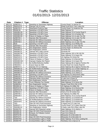| <b>Date</b> | <b>Citation # Type</b> |                         | <b>Offense</b>                     | <b>Location</b>                      |
|-------------|------------------------|-------------------------|------------------------------------|--------------------------------------|
| 09/27/13    | Q098702-2              | Τ                       | Speeding on Semiurban Highway      | County Road F & Warner Dr            |
| 09/29/13    | J900FKD70              | W                       | Operate Left of Center             | Shady Knoll Rd & Twin Lakes Rd       |
| 09/29/13    | Q098703-3              | $\mathsf T$             | Stop/Stand Prohb by Sign           | County Road C & Anderson Rd          |
| 09/30/13    | 00DBC3K                | W                       | Speeding in 55 MPH Zone            | State Highway 13                     |
| 09/30/13    | J900DBC3N              | W                       | Speeding in 55 MPH Zone            | State Highway 13 & County Road G     |
| 10/01/13    | J900DBC3Q              | W                       | Speeding in 55 MPH Zone            | State Highway 111 & Hurban Rd        |
| 10/01/13    | J900DBC3S              | W                       | Failure to Display Lic Plates      | State Highway 111 & Lake Ten Rd      |
| 10/01/13    | Q098705-5              | $\mathsf T$             | Operate After Revocation           | State Highway 111 & Lake Ten Rd      |
| 10/01/13    | Q098704-4              | Т                       | Operate MV Without Insurance       | US Highway 8 & Chicago Ave           |
| 10/01/13    | Q098706-6              | T                       | Operate MV Without Insurance       | State Highway 111 & Lake Ten Rd      |
| 10/02/13    | 8626                   | $\overline{\mathsf{W}}$ | Speeding in 55 MPH Zone            | State Highway 13 & Whitby Rd         |
| 10/02/13    | Q097603-2              | Ŧ                       | Operate After Revocation           | County Road F & Town Hall Rd         |
| 10/03/13    | Q097806-2              | Ŧ                       | Non-Registration Vehicle           | County Road F & Shortcut Rd          |
| 10/04/13    | J900DBC3T              | $\overline{\mathsf{W}}$ | Non-Registration Vehicle           | Dynamite Rd                          |
| 10/04/13    | J900DBC3T              | $\overline{\mathsf{W}}$ | Operate W/O Valid License          | Dynamite Rd                          |
| 10/05/13    | J900DBC3R              | $\overline{\mathsf{W}}$ | Speeding in 55 MPH Zone            | State Highway 182 & Old 182 Rd       |
| 10/08/13    | Q099502-4              | Т                       | Speeding in 55 MPH Zone            | State Highway 13 & Aspen Rd          |
| 10/09/13    | J900FKD73              | W                       | Speeding in 55 MPH Zone            | US Highway 8 & Schie Rd              |
| 10/09/13    | J900FKD74              | W                       | Failure to Display Lic Plates      | State Highway 13 & Bennett Rd        |
| 10/12/13    | J900DBC3W              | W                       | Improper Display (No Plates)       | State Highway 13 & Aspen Rd          |
| 10/12/13    | J900DBC3X              | W                       | No Muffler/Defective Muffler       | State Highway 86 & Ogema Prentice Rd |
| 10/12/13    | V902204-2              | Τ                       | Cause Injury by OWI                | County Road S & County Road W        |
| 10/12/13    | Q098707-0              | Τ                       | Operate ATV on Highway             | State Highway 86 & Ogema Prentice Rd |
| 10/13/13    | J900DBC3Z              | W                       | No Muffler/Defective Muffler       | State Highway 111 & State Highway 13 |
| 10/13/13    | J900DBC40              | W                       | Illegal Use of Radio, Etc.         | State Highway 13 & Liberty Ln        |
| 10/13/13    | J900DBC41              | W                       | Operate MV Without Insurance       | State Highway 13 & Liberty Ln        |
| 10/13/13    | Q098708-1              | $\mathsf T$             | Speeding in 55 MPH Zone            | US Highway 8 & Moonshine Alley       |
| 10/14/13    | Q099105-6              | T                       | Operate MV Without Insurance       | Railroad Ave & Washington St         |
| 10/15/13    | Q098208-5              | $\overline{\top}$       | Operating While Intoxicated        | N Lake Ave & Shaw St                 |
| 10/19/13    | J900FKD76              | W                       | Non-Registration Vehicle           | Railroad Ave & South St              |
| 10/21/13    | 900C3B09               | W                       | <b>Truck Following Too Closely</b> | State Highway 13 & Simon Rd          |
| 10/21/13    | Q098209-6              | $\overline{\mathsf{T}}$ | Non-Registration Vehicle           | Squaw Creek Rd & Old 13 Rd           |
| 10/22/13    | 900DBC42               | W                       | Failure to Display Lic Plates      | US Highway 8 & Miller Rd             |
| 10/22/13    | 900FKD78               | W                       | Speeding in 55 MPH Zone            | State Highway 13 & Shortcut Rd       |
| 10/22/13    | J900FKD79              | W                       | Failure to Display Lic Plates      | State Highway 13 & Voight Rd         |
| 10/22/13    | Q098210-0              | T                       | Operate After Revocation           | Cherry St & W Central Ave            |
| 10/22/13    | Q098709-2              | Τ                       | Operate MV Without Insurance       | US Highway 8 & Miller Rd             |
| 10/22/13    | Q099106-0              |                         | Speeding in 55 MPH Zone            | State Highway 70 & County Road B     |
| 10/23/13    | 7182                   | $\overline{C}$          | Operate MV Without Insurance       | State Highway 13 & Raskie Rd         |
| 10/24/13    | J9004X4FC              | $\overline{\mathsf{W}}$ | No Muffler/Defective Muffler       | State Highway 13 & Raskie Rd         |
| 10/24/13    | J9004X4FC              | W                       | Operate MV Without Insurance       | State Highway 13 & Raskie Rd         |
| 10/26/13    | 7003                   | C                       | Oper MV W/O Proof-Insurance        | S Argyle Ave & S Lake Ave            |
| 10/26/13    | Q099107-1              | Τ                       | Speeding on Semiurban Highway      | County Road F & N Jobes Dam Rd       |
| 10/27/13    | J900DBC44              | W                       | Non-Registration Vehicle           | N Gates Lake Rd & Riley Lake Rd      |
| 10/28/13    | 9008M7RC               | W                       | Operate W/O Required Lamps         | State Highway 13 & Liberty Ln        |
| 10/28/13    | 900DBC45               | W                       | Oper MV W/O Proof-Insurance        | Town St & Cherry St                  |
| 10/28/13    | 900DBC45               | W                       | Exhaust, Air Pollution Control     | Town St & Cherry St                  |
| 10/28/13    | 900FKD7B               | W                       | Headlamps                          | Milwaukee St & Mcmullen St           |
| 10/28/13    | 900FKD7C               | W                       | Oper MV W/O Proof-Insurance        | Milwaukee St & Mcmullen St           |
| 10/29/13    | 9008M7RD               | W                       | Unclean/Defect Lights or Refle     | State Highway 70 & Hicks Landing Rd  |
| 10/29/13    | 9008M7RF               | W                       | Unclean/Defect Lights or Refle     | Flambeau Ave & Spruce St             |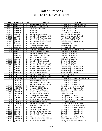| <b>Date</b> | Citation # Type  |                         | <b>Offense</b>                        | <b>Location</b>                        |
|-------------|------------------|-------------------------|---------------------------------------|----------------------------------------|
| 10/29/13    | 900DBC46         | W                       | Non-Registration Vehicle              | State Highway 13 & White Rock Rd       |
| 10/29/13    | 900DBC47         | W                       | Speeding in 55 MPH Zone               | State Highway 70 & Price Lakes Rd      |
| 10/29/13    | 900FKD7D         | W                       | Fail/Stop at Stop Sign                | Railroad Ave & Cherry St               |
| 10/29/13    | 900FKD7F         | W                       | Headlamps                             | Railroad Ave & Cherry St               |
| 10/29/13    | 900FKD7G         | W                       | Headlamps                             | State Highway 13 & Old 8 Rd W          |
| 10/29/13    | Q098710-3        | т                       | Operate After Revocation              | County Road H & Depot Rd               |
| 10/29/13    | V902205-3        | Τ                       | <b>Operating With Prohibited BAC</b>  | County Road G & Bjorklund Rd           |
| 10/29/13    | Q098501-4        | $\mathsf T$             | Oper MV W/O Proof-Insurance           | Holy Cross Rd & Old 13 Rd              |
| 10/29/13    | Q098711-4        | $\mathsf T$             | Operate MV Without Insurance          | County Road H & Depot Rd               |
| 10/29/13    | Q099108-2        | $\overline{\mathsf{T}}$ | Oper MV W/O Proof-Insurance           | State Highway 13 & Old 8 Rd W          |
| 10/29/13    | 00FKD70          | $\overline{W}$          | Operate Left of Center                | Shady Knoll Rd                         |
| 10/30/13    | HJ900FKD         | $\overline{\mathsf{W}}$ | Speeding in 55 MPH Zone               | State Highway 13 & Pine Ln             |
| 11/01/13    | 9008M7RG         | $\overline{W}$          | <b>Obstructed Drivers Vision/Sign</b> | N 5th St & N 4th Ave                   |
| 11/01/13    | Q100501-2        | $\overline{\mathsf{T}}$ | Speeding in 55 MPH Zone               | State Highway 70 & Riley Lake Rd       |
| 11/02/13    | 900DBC49         | $\overline{W}$          | <b>Failure to Display Lic Plates</b>  | Division St & Tower Rd                 |
| 11/02/13    | 900DBC49         | $\overline{\mathsf{W}}$ | Operate W/O Valid License             | Division St & Tower Rd                 |
| 11/02/13    | 900DBC49         | $\overline{\mathsf{W}}$ | Oper MV W/O Proof-Insurance           | Division St & Tower Rd                 |
| 11/02/13    | 900FKD7J         | W                       | Non-Registration Vehicle              | S 2nd St & S 6th Ave                   |
| 11/02/13    | Q098712-5        | т                       | <b>Non-Registration Vehicle</b>       | Division St & Tower Rd                 |
| 11/02/13    | Q099109-3        | Τ                       | <b>Operating While Intoxicated</b>    | S 2nd St & S 6th Ave                   |
| 11/02/13    | Q099110-4        | Τ                       | Operate MV Without Insurance          | S 2nd St & S 6th Ave                   |
| 11/02/13    | Q099111-5        | Τ                       | <b>Operating With Prohibited BAC</b>  | S 2nd St & S 6th Ave                   |
| 11/02/13    | Q099503-5        | T                       | Operating While Intoxicated           | State Highway 86 & Johnson Rd          |
| 11/02/13    | Q099504-6        | $\overline{\mathsf{T}}$ | Possess Open Intoxicants in MV        | State Highway 86 & Johnson Rd          |
| 11/02/13    | Q099505-0        | $\overline{\mathsf{T}}$ | <b>Operating With Prohibited BAC</b>  | State Highway 86 & Johnson Rd          |
| 11/03/13    | 900RFP3K         | W                       | Non-Registration Vehicle              | Smith Lake Boat Landing                |
| 11/04/13    | Q098213-3        | Т                       | Exceed Zoned & Posted Limits          | N Lake Ave & Trinity Dr                |
| 11/05/13    | Q098212-2        | $\overline{\mathsf{T}}$ | Operate MV Without Insurance          | Omaha Rd                               |
| 11/06/13    | J9008M7RH        | W                       | Speeding in 55 MPH Zone               | State Highway 13 & Princeton Valley Ln |
| 11/07/13    | J9009V8VS        | $\overline{C}$          | Non-Registration Vehicle              | State Highway 13 & Bennett Rd          |
| 11/07/13    | J9009V8VS        | $\overline{C}$          | Oper MV W/O Proof-Insurance           | State Highway 13 & Bennett Rd          |
| 11/07/13    | J9009V8VS        | $\overline{C}$          | Operate W/O Required Lamps            | State Highway 13 & Bennett Rd          |
| 11/07/13    | J9009V8VT        | $\overline{C}$          | No Tail Lamps at Night                | State Highway 111 & Hauner Rd          |
| 11/07/13    | <b>J9008M7RK</b> | W                       | Speeding in 55 MPH Zone               | US Highway 8 & Pennington Rd           |
| 11/07/13    | Q100503-4        | Τ                       | Operate W/O Valid License             | State Highway 13 & Bennett Rd          |
| 11/09/13    | J900DBC4C        | $\overline{C}$          | <b>Excessive Tint Side Window</b>     | Beebe St & Center Ave                  |
| 11/09/13    | J900DBC4C        | $\overline{C}$          | No Muffler/Defective Muffler          | Beebe St & Center Ave                  |
| 11/09/13    | J900FKD7L        | w                       | Speeding in 55 MPH Zone               | US Highway 8 & East Rd                 |
| 11/09/13    | Q097808-4        | $\overline{\mathsf{T}}$ | Operate After Revocation              | County Road W & Cemetery Rd            |
| 11/09/13    | Q098713-6        | т                       | Permit Unauth Person Opr MV           | County Road W & Cemetery Rd            |
| 11/09/13    | Q099302-0        | T                       | Non-Registration Vehicle              | N 4th Ave & N 5th St                   |
| 11/09/13    | Q099701-0        | Τ                       | Operate MV Without Insurance          | County Road W & Cemetery Rd            |
| 11/13/13    | J900FKD7M        | W                       | Speeding in 55 MPH Zone               | State Highway 70 & Smith Rapids Rd     |
| 11/13/13    | Q098214-4        | Τ                       | Inattentive Driving                   | State Highway 13 & Hilly Haven Ln      |
| 11/13/13    | Q098215-5        | Т                       | Fail Notify Police of Accident        | State Highway 70 & Lueder Rd           |
| 11/13/13    | Q098216-6        | $\overline{\mathsf{T}}$ | Operate MV Without Insurance          | State Highway 70 & Lueder Rd           |
| 11/13/13    | Q098217-0        | $\overline{\mathsf{T}}$ | Oper MV W/O Proof-Insurance           | State Highway 70 & Lueder Rd           |
| 11/14/13    | Q098718-4        | $\mathsf T$             | <b>Operating After Suspension</b>     | State Highway 13 & Johnson Ave         |
| 11/15/13    | J900DBC4G        | $\mathsf C$             | Failure to Display Lic Plates         | State Highway 13 & Wickdale Rd         |
| 11/15/13    | J900DBC4F        | W                       | FYR to Stop for Emergency Veh         | Dama Rd & Storms Rd                    |
| 11/15/13    | Q098218-1        | Τ                       | Cause Injury/Opr W/PAC                | County Road S & Skinner Creek Rd       |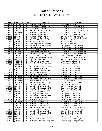| <b>Date</b> | <b>Citation # Type</b> |                         | <b>Offense</b>                     | Location                             |
|-------------|------------------------|-------------------------|------------------------------------|--------------------------------------|
| 11/15/13    | Q098714-0              | т                       | Speeding in Outlying District      | Dama Rd & Storms Rd                  |
| 11/15/13    | Q098715-1              | Τ                       | Ride in Veh W/O Wearing Belts      | State Highway 13 & State Highway 111 |
| 11/15/13    | Q098716-2              | $\mathsf T$             | Ride in Veh W/O Wearing Belts      | State Highway 111 & State Highway 13 |
| 11/15/13    | Q098717-3              | $\top$                  | Operator Fail/Have Pass/Belts      | State Highway 111 & State Highway 13 |
| 11/16/13    | J900DBC4H              | W                       | Speeding in 55 MPH Zone            | State Highway 13 & Aspen Rd          |
| 11/16/13    | Q098719-5              | $\mathsf T$             | Speeding in 55 MPH Zone            | State Highway 13 & Spring Inn Rd     |
| 11/18/13    | Q099112-6              | T                       | Speeding in 55 MPH Zone            | US Highway 8 & Pennington Rd         |
| 11/18/13    | Q099506-1              | Т                       | Fail to Stop for School Bus        | State Highway 13 & Maple Grove Rd    |
| 11/19/13    | V902206-4              | Τ                       | Operating While Intoxicated        | N 1st Ave & N 2nd St                 |
| 11/22/13    | Q098220-3              | T                       | Operate After Revocation           | N Avon Ave & Balsam St               |
| 11/22/13    | Q098221-4              | Ŧ                       | Tampering W/Ignition Interlock     | N Avon Ave & Balsam St               |
| 11/22/13    | Q097809-5              | Ŧ                       | Operate MV Without Insurance       | US Highway 8 & Little Creek Rd       |
| 11/22/13    | Q097810-6              | Ŧ                       | Imprudent Speed                    | US Highway 8 & Little Creek Rd       |
| 11/22/13    | Q098219-2              | Ŧ                       | Veh Opr Fail/Wear Seatbelt         | US Highway 8 & Little Creek Rd       |
| 11/24/13    | J900DBC4J              | $\overline{C}$          | <b>Excessive Tint Side Window</b>  | State Highway 13 & Grunerwald Rd     |
| 11/24/13    | J900DBC4J              | $\overline{\text{c}}$   | Operate MV Without Insurance       | State Highway 13 & Grunerwald Rd     |
| 11/25/13    | Q098222-5              | Τ                       | Veh Opr Fail/Wear Seatbelt         | Crane Chase Rd & Maple Rd            |
| 11/25/13    | Q098223-6              | Τ                       | Driving Too Fast For Conditions    | State Highway 70 & Sheep Ranch Rd    |
| 11/25/13    | Q099507-2              | Τ                       | Fail/Stop at Stop Sign             | County Road A & State Highway 13     |
| 11/26/13    | J900DBC4K              | C                       | Failure to Display Lic Plates      | Flambeau Ave & Balsam St             |
| 11/26/13    | J900DBC4K              | $\mathsf C$             | Oper MV W/O Proof-Insurance        | Flambeau Ave & Balsam St             |
| 11/26/13    | J900DBC4L              | C                       | Failure to Display Lic Plates      | Flambeau Ave & Spruce St             |
| 11/26/13    | J900DBC4L              | $\mathsf C$             | Oper MV W/O Proof-Insurance        | Flambeau Ave & Spruce St             |
| 11/26/13    | Q098720-6              | T                       | Non-Registration Vehicle           | Flambeau Ave & Walnut St             |
| 11/26/13    | Q098721-0              | Т                       | Oper MV W/O Proof-Insurance        | Flambeau Ave & Walnut St             |
| 11/26/13    | Q098722-1              | T                       | Non-Registration Vehicle           | Flambeau Ave & Pine St               |
| 11/26/13    | Q098723-2              | $\overline{\mathsf{T}}$ | Operate After Revocation           | Flambeau Ave & Pine St               |
| 11/29/13    | J900DBC4M              | $\mathbf C$             | Non-Registration Vehicle           | State Highway 13 & Peters Rd         |
| 11/29/13    | J900DBC4M              | $\overline{C}$          | Oper MV W/O Proof-Insurance        | State Highway 13 & Peters Rd         |
| 11/29/13    | J900DBC4N              | $\overline{C}$          | Non-Registration Vehicle           | Shortcut Rd & Hill Rd                |
| 11/29/13    | J900SNQ6P              | $\overline{C}$          | Operate MV Without Insurance       | County Road O & Wears Rd             |
| 11/29/13    | Q098724-3              | $\overline{\mathsf{T}}$ | Fail/Stop at Stop Sign             | Linden Ave & Spruce St               |
| 11/29/13    | Q099702-1              | $\mathsf T$             | Operating While Intoxicated        | County Road O & Wears Rd             |
| 11/29/13    | Q099703-2              | Τ                       | Operating With Prohibited BAC      | County Road O & Wears Rd             |
| 11/29/13    | Q099704-3              | Τ                       | Driving Too Fast For Conditions    | County Road O & Wears Rd             |
| 11/30/13    | Q098725-4              | Τ                       | Speeding in 55 MPH Zone            | US Highway 8 & Beaumont Rd           |
| 11/30/13    | Q098726-5              | Т                       | Speeding in 55 MPH Zone            | US Highway 8 & Aspen Rd              |
| 11/30/13    | IQ098727-6             |                         | Oper MV W/O Proof-Insurance        | US Highway 8 & Aspen Rd              |
| 11/30/13    | Q098728-0              | T                       | Non-Registration Vehicle           | US Highway 8 & Aspen Rd              |
| 11/30/13    | Q098729-1              | $\overline{\mathsf{T}}$ | Display Unauth Reg Plate           | US Highway 8 & Aspen Rd              |
| 12/01/13    | J900DBC4P              | $\overline{\mathsf{W}}$ | Speeding in 55 MPH Zone            | State Highway 13 & Bennett Rd        |
| 12/01/13    | Q098730-2              | т                       | Speeding in 55 MPH Zone            | State Highway 13 & Bennett Rd        |
| 12/01/13    | Q098731-3              | Τ                       | Speeding in 55 MPH Zone            | State Highway 13 & Bennett Rd        |
| 12/02/13    | V901897-3              | T                       | Operate MV Without Insurance       | Hilly Haven Ln & State Highway 13    |
| 12/04/13    | Q099303-1              | Τ                       | Veh Opr Fail/Wear Seatbelt         | State Highway 111 & Lake Ten Rd      |
| 12/05/13    | Q100301-5              | Т                       | <b>Operating While Intoxicated</b> | Deer Creek Rd & Shortcut Rd          |
| 12/05/13    | Q100302-6              | T                       | Operating With Prohibited BAC      | Deer Creek Rd & Shortcut Rd          |
| 12/06/13    | Q097813-2              | Τ                       | Vent, Side and Rear Windows        | Beebe St & Center Ave                |
| 12/06/13    | Q097814-3              | Τ                       | Failure to Display Lic Plates      | US Highway 8 & Miller Rd             |
| 12/06/13    | Q097815-4              | т                       | Operate MV Without Insurance       | State Highway 13 & Liberty Ln        |
| 12/07/13    | Q098732-4              | т                       | MV Windows Not Reasonably Clear    | State Highway 70 & Dynamite Rd       |